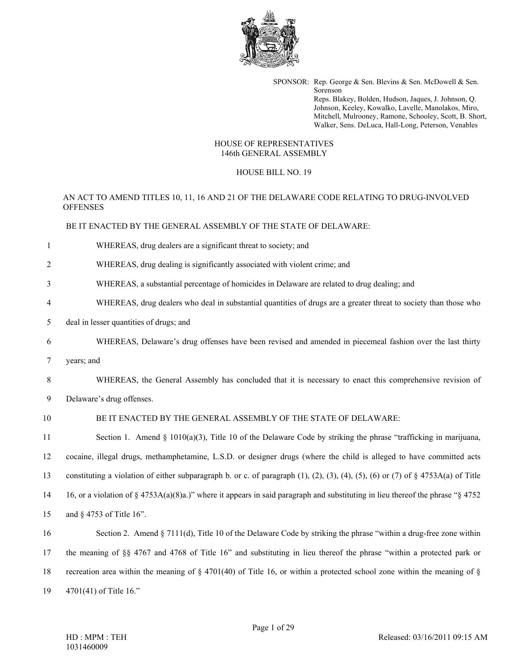

SPONSOR: Rep. George & Sen. Blevins & Sen. McDowell & Sen. Sorenson Reps. Blakey, Bolden, Hudson, Jaques, J. Johnson, Q. Johnson, Keeley, Kowalko, Lavelle, Manolakos, Miro, Mitchell, Mulrooney, Ramone, Schooley, Scott, B. Short, Walker, Sens. DeLuca, Hall-Long, Peterson, Venables

#### HOUSE OF REPRESENTATIVES 146th GENERAL ASSEMBLY

## HOUSE BILL NO. 19

# AN ACT TO AMEND TITLES 10, 11, 16 AND 21 OF THE DELAWARE CODE RELATING TO DRUG-INVOLVED **OFFENSES**

BE IT ENACTED BY THE GENERAL ASSEMBLY OF THE STATE OF DELAWARE:

- 1 WHEREAS, drug dealers are a significant threat to society; and
- 2 WHEREAS, drug dealing is significantly associated with violent crime; and
- 3 WHEREAS, a substantial percentage of homicides in Delaware are related to drug dealing; and
- 4 WHEREAS, drug dealers who deal in substantial quantities of drugs are a greater threat to society than those who
- 5 deal in lesser quantities of drugs; and
- 6 WHEREAS, Delaware's drug offenses have been revised and amended in piecemeal fashion over the last thirty
- 7 years; and

8 WHEREAS, the General Assembly has concluded that it is necessary to enact this comprehensive revision of

9 Delaware's drug offenses.

### 10 BE IT ENACTED BY THE GENERAL ASSEMBLY OF THE STATE OF DELAWARE:

11 Section 1. Amend § 1010(a)(3), Title 10 of the Delaware Code by striking the phrase "trafficking in marijuana, 12 cocaine, illegal drugs, methamphetamine, L.S.D. or designer drugs (where the child is alleged to have committed acts 13 constituting a violation of either subparagraph b. or c. of paragraph (1), (2), (3), (4), (5), (6) or (7) of § 4753A(a) of Title 14 16, or a violation of § 4753A(a)(8)a.)" where it appears in said paragraph and substituting in lieu thereof the phrase "§ 4752 15 and § 4753 of Title 16".

16 Section 2. Amend § 7111(d), Title 10 of the Delaware Code by striking the phrase "within a drug-free zone within 17 the meaning of §§ 4767 and 4768 of Title 16" and substituting in lieu thereof the phrase "within a protected park or 18 recreation area within the meaning of  $\S$  4701(40) of Title 16, or within a protected school zone within the meaning of  $\S$ 19 4701(41) of Title 16."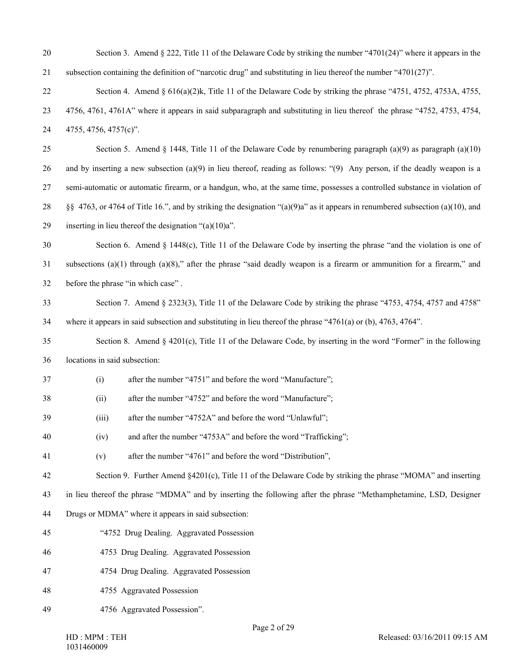- 20 Section 3. Amend § 222, Title 11 of the Delaware Code by striking the number "4701(24)" where it appears in the 21 subsection containing the definition of "narcotic drug" and substituting in lieu thereof the number "4701(27)".
- 22 Section 4. Amend § 616(a)(2)k, Title 11 of the Delaware Code by striking the phrase "4751, 4752, 4753A, 4755, 23 4756, 4761, 4761A" where it appears in said subparagraph and substituting in lieu thereof the phrase "4752, 4753, 4754, 24 4755, 4756, 4757(c)".

25 Section 5. Amend § 1448, Title 11 of the Delaware Code by renumbering paragraph (a)(9) as paragraph (a)(10) 26 and by inserting a new subsection (a)(9) in lieu thereof, reading as follows: "(9) Any person, if the deadly weapon is a 27 semi-automatic or automatic firearm, or a handgun, who, at the same time, possesses a controlled substance in violation of 28 §§ 4763, or 4764 of Title 16.", and by striking the designation "(a)(9)a" as it appears in renumbered subsection (a)(10), and 29 inserting in lieu thereof the designation " $(a)(10)a$ ".

30 Section 6. Amend § 1448(c), Title 11 of the Delaware Code by inserting the phrase "and the violation is one of 31 subsections  $(a)(1)$  through  $(a)(8)$ ," after the phrase "said deadly weapon is a firearm or ammunition for a firearm," and 32 before the phrase "in which case" .

33 Section 7. Amend § 2323(3), Title 11 of the Delaware Code by striking the phrase "4753, 4754, 4757 and 4758" 34 where it appears in said subsection and substituting in lieu thereof the phrase "4761(a) or (b), 4763, 4764".

- 35 Section 8. Amend § 4201(c), Title 11 of the Delaware Code, by inserting in the word "Former" in the following 36 locations in said subsection:
- 37 (i) after the number "4751" and before the word "Manufacture";
- 38 (ii) after the number "4752" and before the word "Manufacture";
- 39 (iii) after the number "4752A" and before the word "Unlawful";
- 40 (iv) and after the number "4753A" and before the word "Trafficking";
- 41 (v) after the number "4761" and before the word "Distribution",

42 Section 9. Further Amend §4201(c), Title 11 of the Delaware Code by striking the phrase "MOMA" and inserting

43 in lieu thereof the phrase "MDMA" and by inserting the following after the phrase "Methamphetamine, LSD, Designer

- 44 Drugs or MDMA" where it appears in said subsection:
- 45 "4752 Drug Dealing. Aggravated Possession
- 46 4753 Drug Dealing. Aggravated Possession
- 47 4754 Drug Dealing. Aggravated Possession
- 48 4755 Aggravated Possession
- 49 4756 Aggravated Possession".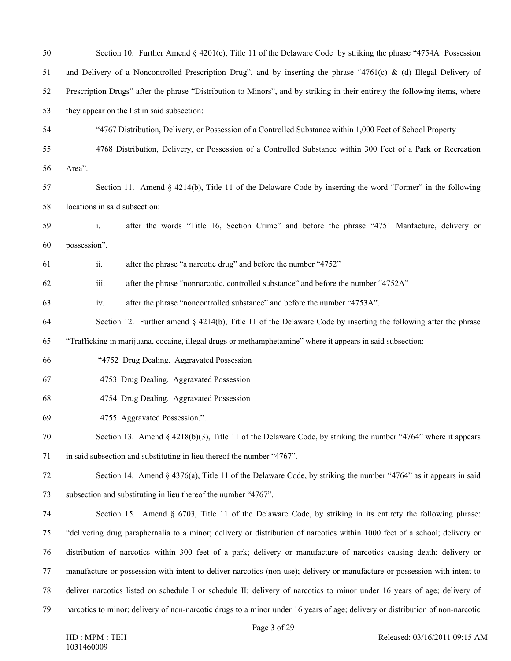| 50 | Section 10. Further Amend § 4201(c), Title 11 of the Delaware Code by striking the phrase "4754A Possession                   |
|----|-------------------------------------------------------------------------------------------------------------------------------|
| 51 | and Delivery of a Noncontrolled Prescription Drug", and by inserting the phrase "4761(c) & (d) Illegal Delivery of            |
| 52 | Prescription Drugs" after the phrase "Distribution to Minors", and by striking in their entirety the following items, where   |
| 53 | they appear on the list in said subsection:                                                                                   |
| 54 | "4767 Distribution, Delivery, or Possession of a Controlled Substance within 1,000 Feet of School Property                    |
| 55 | 4768 Distribution, Delivery, or Possession of a Controlled Substance within 300 Feet of a Park or Recreation                  |
| 56 | Area".                                                                                                                        |
| 57 | Section 11. Amend $\S$ 4214(b), Title 11 of the Delaware Code by inserting the word "Former" in the following                 |
| 58 | locations in said subsection:                                                                                                 |
| 59 | $\mathbf{i}$ .<br>after the words "Title 16, Section Crime" and before the phrase "4751 Manfacture, delivery or               |
| 60 | possession".                                                                                                                  |
| 61 | ii.<br>after the phrase "a narcotic drug" and before the number "4752"                                                        |
| 62 | iii.<br>after the phrase "nonnarcotic, controlled substance" and before the number "4752A"                                    |
| 63 | after the phrase "noncontrolled substance" and before the number "4753A".<br>iv.                                              |
| 64 | Section 12. Further amend $\S$ 4214(b), Title 11 of the Delaware Code by inserting the following after the phrase             |
| 65 | "Trafficking in marijuana, cocaine, illegal drugs or methamphetamine" where it appears in said subsection:                    |
| 66 | "4752 Drug Dealing. Aggravated Possession                                                                                     |
| 67 | 4753 Drug Dealing. Aggravated Possession                                                                                      |
| 68 | 4754 Drug Dealing. Aggravated Possession                                                                                      |
| 69 | 4755 Aggravated Possession.".                                                                                                 |
| 70 | Section 13. Amend § $4218(b)(3)$ , Title 11 of the Delaware Code, by striking the number "4764" where it appears              |
| 71 | in said subsection and substituting in lieu thereof the number "4767".                                                        |
| 72 | Section 14. Amend § 4376(a), Title 11 of the Delaware Code, by striking the number "4764" as it appears in said               |
| 73 | subsection and substituting in lieu thereof the number "4767".                                                                |
| 74 | Section 15. Amend § 6703, Title 11 of the Delaware Code, by striking in its entirety the following phrase:                    |
| 75 | "delivering drug paraphernalia to a minor; delivery or distribution of narcotics within 1000 feet of a school; delivery or    |
| 76 | distribution of narcotics within 300 feet of a park; delivery or manufacture of narcotics causing death; delivery or          |
| 77 | manufacture or possession with intent to deliver narcotics (non-use); delivery or manufacture or possession with intent to    |
| 78 | deliver narcotics listed on schedule I or schedule II; delivery of narcotics to minor under 16 years of age; delivery of      |
| 79 | narcotics to minor; delivery of non-narcotic drugs to a minor under 16 years of age; delivery or distribution of non-narcotic |
|    |                                                                                                                               |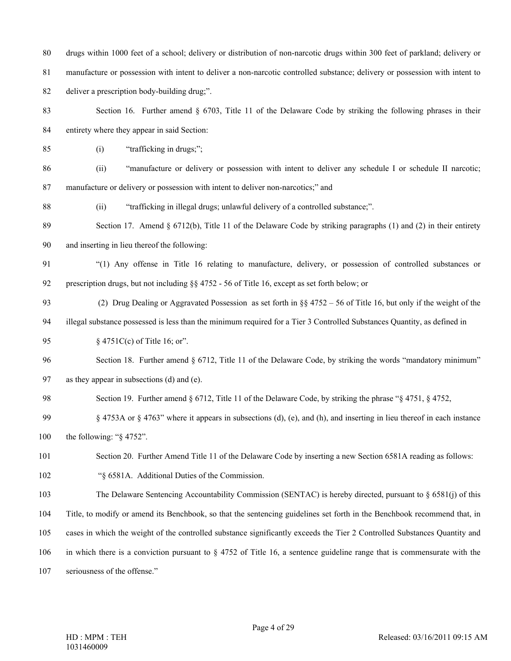80 drugs within 1000 feet of a school; delivery or distribution of non-narcotic drugs within 300 feet of parkland; delivery or

81 manufacture or possession with intent to deliver a non-narcotic controlled substance; delivery or possession with intent to

82 deliver a prescription body-building drug;".

83 Section 16. Further amend § 6703, Title 11 of the Delaware Code by striking the following phrases in their 84 entirety where they appear in said Section:

85 (i) "trafficking in drugs;";

86 (ii) "manufacture or delivery or possession with intent to deliver any schedule I or schedule II narcotic; 87 manufacture or delivery or possession with intent to deliver non-narcotics;" and

88 (ii) "trafficking in illegal drugs; unlawful delivery of a controlled substance;".

89 Section 17. Amend § 6712(b), Title 11 of the Delaware Code by striking paragraphs (1) and (2) in their entirety

90 and inserting in lieu thereof the following:

91 "(1) Any offense in Title 16 relating to manufacture, delivery, or possession of controlled substances or 92 prescription drugs, but not including §§ 4752 - 56 of Title 16, except as set forth below; or

93 (2) Drug Dealing or Aggravated Possession as set forth in §§ 4752 – 56 of Title 16, but only if the weight of the

94 illegal substance possessed is less than the minimum required for a Tier 3 Controlled Substances Quantity, as defined in

95 § 4751C(c) of Title 16; or".

96 Section 18. Further amend § 6712, Title 11 of the Delaware Code, by striking the words "mandatory minimum" 97 as they appear in subsections (d) and (e).

98 Section 19. Further amend § 6712, Title 11 of the Delaware Code, by striking the phrase "§ 4751, § 4752,

99 § 4753A or § 4763" where it appears in subsections (d), (e), and (h), and inserting in lieu thereof in each instance

100 the following: "§ 4752".

101 Section 20. Further Amend Title 11 of the Delaware Code by inserting a new Section 6581A reading as follows:

102 "§ 6581A. Additional Duties of the Commission.

103 The Delaware Sentencing Accountability Commission (SENTAC) is hereby directed, pursuant to § 6581(j) of this

104 Title, to modify or amend its Benchbook, so that the sentencing guidelines set forth in the Benchbook recommend that, in

105 cases in which the weight of the controlled substance significantly exceeds the Tier 2 Controlled Substances Quantity and

106 in which there is a conviction pursuant to § 4752 of Title 16, a sentence guideline range that is commensurate with the

107 seriousness of the offense."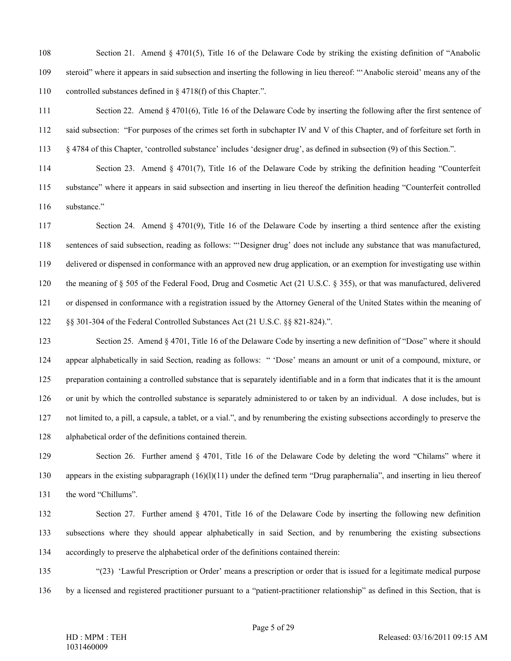108 Section 21. Amend § 4701(5), Title 16 of the Delaware Code by striking the existing definition of "Anabolic 109 steroid" where it appears in said subsection and inserting the following in lieu thereof: "'Anabolic steroid' means any of the 110 controlled substances defined in § 4718(f) of this Chapter.".

111 Section 22. Amend § 4701(6), Title 16 of the Delaware Code by inserting the following after the first sentence of 112 said subsection: "For purposes of the crimes set forth in subchapter IV and V of this Chapter, and of forfeiture set forth in 113 § 4784 of this Chapter, 'controlled substance' includes 'designer drug', as defined in subsection (9) of this Section.".

114 Section 23. Amend § 4701(7), Title 16 of the Delaware Code by striking the definition heading "Counterfeit 115 substance" where it appears in said subsection and inserting in lieu thereof the definition heading "Counterfeit controlled 116 substance."

117 Section 24. Amend § 4701(9), Title 16 of the Delaware Code by inserting a third sentence after the existing 118 sentences of said subsection, reading as follows: "'Designer drug' does not include any substance that was manufactured, 119 delivered or dispensed in conformance with an approved new drug application, or an exemption for investigating use within 120 the meaning of § 505 of the Federal Food, Drug and Cosmetic Act (21 U.S.C. § 355), or that was manufactured, delivered 121 or dispensed in conformance with a registration issued by the Attorney General of the United States within the meaning of 122 §§ 301-304 of the Federal Controlled Substances Act (21 U.S.C. §§ 821-824).".

123 Section 25. Amend § 4701, Title 16 of the Delaware Code by inserting a new definition of "Dose" where it should 124 appear alphabetically in said Section, reading as follows: " 'Dose' means an amount or unit of a compound, mixture, or 125 preparation containing a controlled substance that is separately identifiable and in a form that indicates that it is the amount 126 or unit by which the controlled substance is separately administered to or taken by an individual. A dose includes, but is 127 not limited to, a pill, a capsule, a tablet, or a vial.", and by renumbering the existing subsections accordingly to preserve the 128 alphabetical order of the definitions contained therein.

129 Section 26. Further amend § 4701, Title 16 of the Delaware Code by deleting the word "Chilams" where it 130 appears in the existing subparagraph (16)(l)(11) under the defined term "Drug paraphernalia", and inserting in lieu thereof 131 the word "Chillums".

132 Section 27. Further amend § 4701, Title 16 of the Delaware Code by inserting the following new definition 133 subsections where they should appear alphabetically in said Section, and by renumbering the existing subsections 134 accordingly to preserve the alphabetical order of the definitions contained therein:

135 "(23) 'Lawful Prescription or Order' means a prescription or order that is issued for a legitimate medical purpose 136 by a licensed and registered practitioner pursuant to a "patient-practitioner relationship" as defined in this Section, that is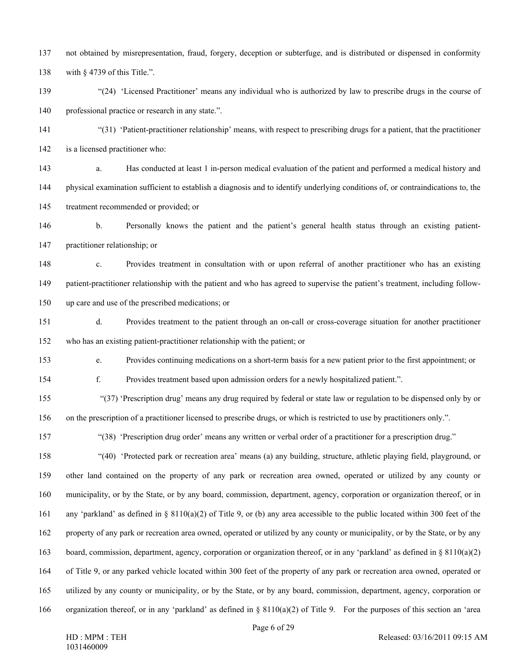137 not obtained by misrepresentation, fraud, forgery, deception or subterfuge, and is distributed or dispensed in conformity 138 with § 4739 of this Title.".

139 "(24) 'Licensed Practitioner' means any individual who is authorized by law to prescribe drugs in the course of 140 professional practice or research in any state.".

- 141 "(31) 'Patient-practitioner relationship' means, with respect to prescribing drugs for a patient, that the practitioner 142 is a licensed practitioner who:
- 143 a. Has conducted at least 1 in-person medical evaluation of the patient and performed a medical history and 144 physical examination sufficient to establish a diagnosis and to identify underlying conditions of, or contraindications to, the 145 treatment recommended or provided; or

146 b. Personally knows the patient and the patient's general health status through an existing patient-147 practitioner relationship; or

148 c. Provides treatment in consultation with or upon referral of another practitioner who has an existing 149 patient-practitioner relationship with the patient and who has agreed to supervise the patient's treatment, including follow-150 up care and use of the prescribed medications; or

151 d. Provides treatment to the patient through an on-call or cross-coverage situation for another practitioner 152 who has an existing patient-practitioner relationship with the patient; or

153 e. Provides continuing medications on a short-term basis for a new patient prior to the first appointment; or

154 f. Provides treatment based upon admission orders for a newly hospitalized patient.".

155 "(37) 'Prescription drug' means any drug required by federal or state law or regulation to be dispensed only by or 156 on the prescription of a practitioner licensed to prescribe drugs, or which is restricted to use by practitioners only.".

157 "(38) 'Prescription drug order' means any written or verbal order of a practitioner for a prescription drug."

158 "(40) 'Protected park or recreation area' means (a) any building, structure, athletic playing field, playground, or 159 other land contained on the property of any park or recreation area owned, operated or utilized by any county or 160 municipality, or by the State, or by any board, commission, department, agency, corporation or organization thereof, or in 161 any 'parkland' as defined in § 8110(a)(2) of Title 9, or (b) any area accessible to the public located within 300 feet of the 162 property of any park or recreation area owned, operated or utilized by any county or municipality, or by the State, or by any 163 board, commission, department, agency, corporation or organization thereof, or in any 'parkland' as defined in § 8110(a)(2) 164 of Title 9, or any parked vehicle located within 300 feet of the property of any park or recreation area owned, operated or 165 utilized by any county or municipality, or by the State, or by any board, commission, department, agency, corporation or 166 organization thereof, or in any 'parkland' as defined in  $\S 8110(a)(2)$  of Title 9. For the purposes of this section an 'area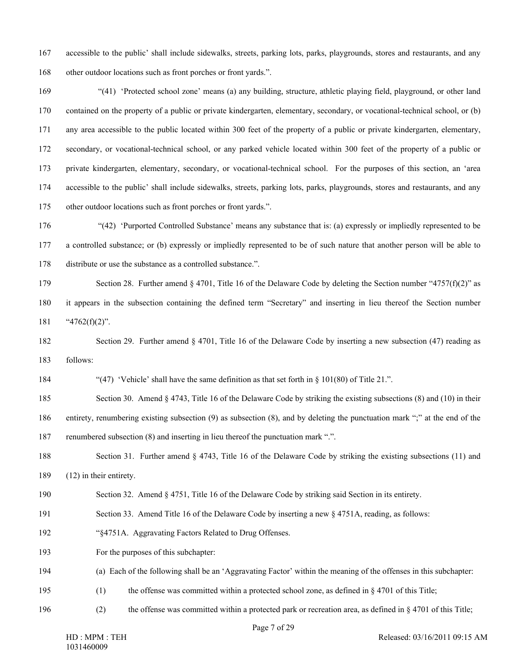167 accessible to the public' shall include sidewalks, streets, parking lots, parks, playgrounds, stores and restaurants, and any 168 other outdoor locations such as front porches or front yards.".

169 "(41) 'Protected school zone' means (a) any building, structure, athletic playing field, playground, or other land 170 contained on the property of a public or private kindergarten, elementary, secondary, or vocational-technical school, or (b) 171 any area accessible to the public located within 300 feet of the property of a public or private kindergarten, elementary, 172 secondary, or vocational-technical school, or any parked vehicle located within 300 feet of the property of a public or 173 private kindergarten, elementary, secondary, or vocational-technical school. For the purposes of this section, an 'area 174 accessible to the public' shall include sidewalks, streets, parking lots, parks, playgrounds, stores and restaurants, and any 175 other outdoor locations such as front porches or front yards.".

176 "(42) 'Purported Controlled Substance' means any substance that is: (a) expressly or impliedly represented to be 177 a controlled substance; or (b) expressly or impliedly represented to be of such nature that another person will be able to 178 distribute or use the substance as a controlled substance.".

179 Section 28. Further amend § 4701, Title 16 of the Delaware Code by deleting the Section number "4757(f)(2)" as 180 it appears in the subsection containing the defined term "Secretary" and inserting in lieu thereof the Section number 181  $"4762(f)(2)"$ .

182 Section 29. Further amend § 4701, Title 16 of the Delaware Code by inserting a new subsection (47) reading as 183 follows:

184 "(47) 'Vehicle' shall have the same definition as that set forth in § 101(80) of Title 21.".

185 Section 30. Amend § 4743, Title 16 of the Delaware Code by striking the existing subsections (8) and (10) in their 186 entirety, renumbering existing subsection (9) as subsection (8), and by deleting the punctuation mark ";" at the end of the 187 renumbered subsection (8) and inserting in lieu thereof the punctuation mark ".".

188 Section 31. Further amend § 4743, Title 16 of the Delaware Code by striking the existing subsections (11) and 189 (12) in their entirety.

190 Section 32. Amend § 4751, Title 16 of the Delaware Code by striking said Section in its entirety.

- 191 Section 33. Amend Title 16 of the Delaware Code by inserting a new § 4751A, reading, as follows:
- 192 "§4751A. Aggravating Factors Related to Drug Offenses.

193 For the purposes of this subchapter:

- 194 (a) Each of the following shall be an 'Aggravating Factor' within the meaning of the offenses in this subchapter:
- 195 (1) the offense was committed within a protected school zone, as defined in § 4701 of this Title;
- 196 (2) the offense was committed within a protected park or recreation area, as defined in § 4701 of this Title;

Page 7 of 29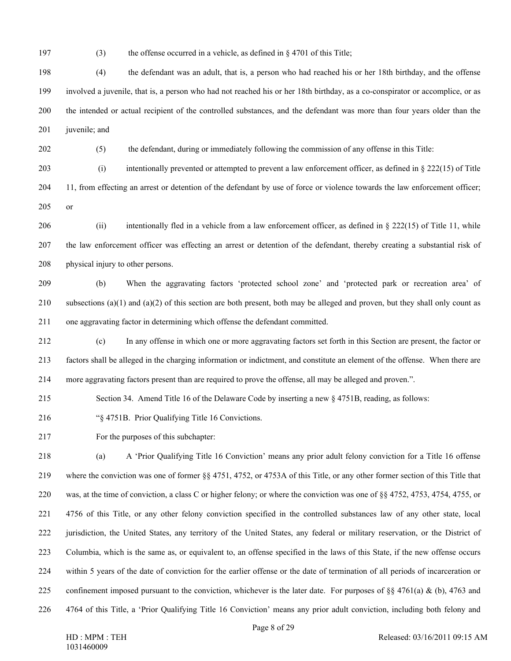197 (3) the offense occurred in a vehicle, as defined in § 4701 of this Title;

198 (4) the defendant was an adult, that is, a person who had reached his or her 18th birthday, and the offense 199 involved a juvenile, that is, a person who had not reached his or her 18th birthday, as a co-conspirator or accomplice, or as 200 the intended or actual recipient of the controlled substances, and the defendant was more than four years older than the 201 iuvenile; and

202 (5) the defendant, during or immediately following the commission of any offense in this Title:

203 (i) intentionally prevented or attempted to prevent a law enforcement officer, as defined in § 222(15) of Title

204 11, from effecting an arrest or detention of the defendant by use of force or violence towards the law enforcement officer; 205 or

206 (ii) intentionally fled in a vehicle from a law enforcement officer, as defined in § 222(15) of Title 11, while 207 the law enforcement officer was effecting an arrest or detention of the defendant, thereby creating a substantial risk of 208 physical injury to other persons.

209 (b) When the aggravating factors 'protected school zone' and 'protected park or recreation area' of 210 subsections (a)(1) and (a)(2) of this section are both present, both may be alleged and proven, but they shall only count as 211 one aggravating factor in determining which offense the defendant committed.

212 (c) In any offense in which one or more aggravating factors set forth in this Section are present, the factor or 213 factors shall be alleged in the charging information or indictment, and constitute an element of the offense. When there are 214 more aggravating factors present than are required to prove the offense, all may be alleged and proven.".

215 Section 34. Amend Title 16 of the Delaware Code by inserting a new § 4751B, reading, as follows:

216 "§ 4751B. Prior Qualifying Title 16 Convictions.

217 For the purposes of this subchapter:

218 (a) A 'Prior Qualifying Title 16 Conviction' means any prior adult felony conviction for a Title 16 offense 219 where the conviction was one of former §§ 4751, 4752, or 4753A of this Title, or any other former section of this Title that 220 was, at the time of conviction, a class C or higher felony; or where the conviction was one of §§ 4752, 4753, 4754, 4755, or 221 4756 of this Title, or any other felony conviction specified in the controlled substances law of any other state, local 222 jurisdiction, the United States, any territory of the United States, any federal or military reservation, or the District of 223 Columbia, which is the same as, or equivalent to, an offense specified in the laws of this State, if the new offense occurs 224 within 5 years of the date of conviction for the earlier offense or the date of termination of all periods of incarceration or 225 confinement imposed pursuant to the conviction, whichever is the later date. For purposes of  $\S$  4761(a) & (b), 4763 and 226 4764 of this Title, a 'Prior Qualifying Title 16 Conviction' means any prior adult conviction, including both felony and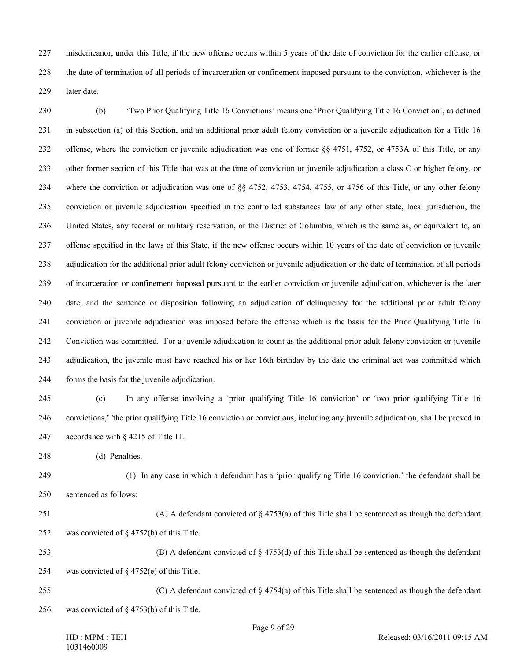227 misdemeanor, under this Title, if the new offense occurs within 5 years of the date of conviction for the earlier offense, or 228 the date of termination of all periods of incarceration or confinement imposed pursuant to the conviction, whichever is the 229 later date.

230 (b) 'Two Prior Qualifying Title 16 Convictions' means one 'Prior Qualifying Title 16 Conviction', as defined 231 in subsection (a) of this Section, and an additional prior adult felony conviction or a juvenile adjudication for a Title 16 232 offense, where the conviction or juvenile adjudication was one of former §§ 4751, 4752, or 4753A of this Title, or any 233 other former section of this Title that was at the time of conviction or juvenile adjudication a class C or higher felony, or 234 where the conviction or adjudication was one of §§ 4752, 4753, 4754, 4755, or 4756 of this Title, or any other felony 235 conviction or juvenile adjudication specified in the controlled substances law of any other state, local jurisdiction, the 236 United States, any federal or military reservation, or the District of Columbia, which is the same as, or equivalent to, an 237 offense specified in the laws of this State, if the new offense occurs within 10 years of the date of conviction or juvenile 238 adjudication for the additional prior adult felony conviction or juvenile adjudication or the date of termination of all periods 239 of incarceration or confinement imposed pursuant to the earlier conviction or juvenile adjudication, whichever is the later 240 date, and the sentence or disposition following an adjudication of delinquency for the additional prior adult felony 241 conviction or juvenile adjudication was imposed before the offense which is the basis for the Prior Qualifying Title 16 242 Conviction was committed. For a juvenile adjudication to count as the additional prior adult felony conviction or juvenile 243 adjudication, the juvenile must have reached his or her 16th birthday by the date the criminal act was committed which 244 forms the basis for the juvenile adjudication.

- 245 (c) In any offense involving a 'prior qualifying Title 16 conviction' or 'two prior qualifying Title 16 246 convictions,' 'the prior qualifying Title 16 conviction or convictions, including any juvenile adjudication, shall be proved in 247 accordance with § 4215 of Title 11.
- 248 (d) Penalties.

249 (1) In any case in which a defendant has a 'prior qualifying Title 16 conviction,' the defendant shall be 250 sentenced as follows:

- 251 (A) A defendant convicted of § 4753(a) of this Title shall be sentenced as though the defendant 252 was convicted of § 4752(b) of this Title.
- 253 (B) A defendant convicted of § 4753(d) of this Title shall be sentenced as though the defendant 254 was convicted of § 4752(e) of this Title.
- 255 (C) A defendant convicted of  $\S 4754(a)$  of this Title shall be sentenced as though the defendant 256 was convicted of § 4753(b) of this Title.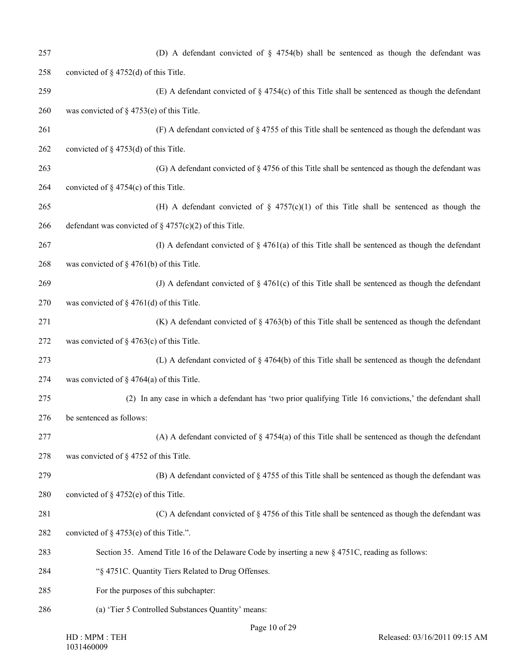| 257 | (D) A defendant convicted of $\S$ 4754(b) shall be sentenced as though the defendant was                  |
|-----|-----------------------------------------------------------------------------------------------------------|
| 258 | convicted of $\S$ 4752(d) of this Title.                                                                  |
| 259 | (E) A defendant convicted of $\S$ 4754(c) of this Title shall be sentenced as though the defendant        |
| 260 | was convicted of $\S$ 4753(e) of this Title.                                                              |
| 261 | (F) A defendant convicted of $\S$ 4755 of this Title shall be sentenced as though the defendant was       |
| 262 | convicted of $\S$ 4753(d) of this Title.                                                                  |
| 263 | (G) A defendant convicted of $\S$ 4756 of this Title shall be sentenced as though the defendant was       |
| 264 | convicted of $\S$ 4754(c) of this Title.                                                                  |
| 265 | (H) A defendant convicted of $\S$ 4757(c)(1) of this Title shall be sentenced as though the               |
| 266 | defendant was convicted of $\S$ 4757(c)(2) of this Title.                                                 |
| 267 | (I) A defendant convicted of $\S$ 4761(a) of this Title shall be sentenced as though the defendant        |
| 268 | was convicted of $\S$ 4761(b) of this Title.                                                              |
| 269 | (J) A defendant convicted of $\S$ 4761(c) of this Title shall be sentenced as though the defendant        |
| 270 | was convicted of $\S$ 4761(d) of this Title.                                                              |
| 271 | (K) A defendant convicted of $\S$ 4763(b) of this Title shall be sentenced as though the defendant        |
| 272 | was convicted of $\S$ 4763(c) of this Title.                                                              |
| 273 | (L) A defendant convicted of $\S$ 4764(b) of this Title shall be sentenced as though the defendant        |
| 274 | was convicted of $\S$ 4764(a) of this Title.                                                              |
| 275 | (2) In any case in which a defendant has 'two prior qualifying Title 16 convictions,' the defendant shall |
| 276 | be sentenced as follows:                                                                                  |
| 277 | (A) A defendant convicted of $\S$ 4754(a) of this Title shall be sentenced as though the defendant        |
| 278 | was convicted of § 4752 of this Title.                                                                    |
| 279 | (B) A defendant convicted of $\S$ 4755 of this Title shall be sentenced as though the defendant was       |
| 280 | convicted of $\S$ 4752(e) of this Title.                                                                  |
| 281 | (C) A defendant convicted of $\S$ 4756 of this Title shall be sentenced as though the defendant was       |
| 282 | convicted of $\S$ 4753(e) of this Title.".                                                                |
| 283 | Section 35. Amend Title 16 of the Delaware Code by inserting a new § 4751C, reading as follows:           |
| 284 | "§ 4751C. Quantity Tiers Related to Drug Offenses.                                                        |
| 285 | For the purposes of this subchapter:                                                                      |
| 286 | (a) 'Tier 5 Controlled Substances Quantity' means:                                                        |
|     |                                                                                                           |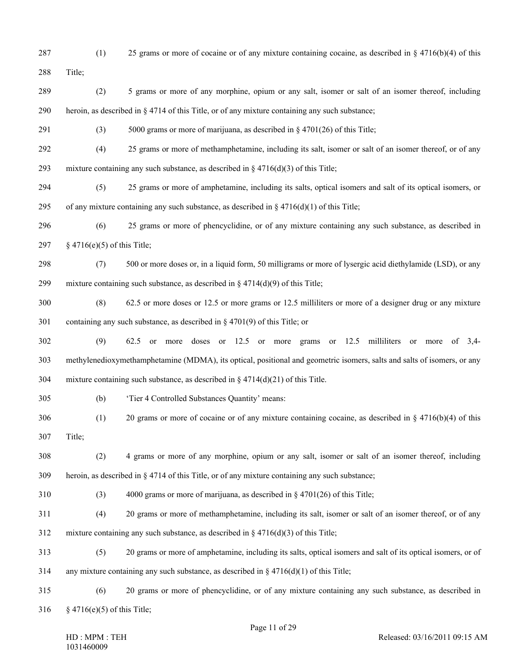287 (1) 25 grams or more of cocaine or of any mixture containing cocaine, as described in § 4716(b)(4) of this 288 Title; 289 (2) 5 grams or more of any morphine, opium or any salt, isomer or salt of an isomer thereof, including 290 heroin, as described in § 4714 of this Title, or of any mixture containing any such substance; 291 (3) 5000 grams or more of marijuana, as described in § 4701(26) of this Title; 292 (4) 25 grams or more of methamphetamine, including its salt, isomer or salt of an isomer thereof, or of any 293 mixture containing any such substance, as described in  $\S 4716(d)(3)$  of this Title; 294 (5) 25 grams or more of amphetamine, including its salts, optical isomers and salt of its optical isomers, or 295 of any mixture containing any such substance, as described in  $\S$  4716(d)(1) of this Title; 296 (6) 25 grams or more of phencyclidine, or of any mixture containing any such substance, as described in 297 § 4716(e)(5) of this Title; 298 (7) 500 or more doses or, in a liquid form, 50 milligrams or more of lysergic acid diethylamide (LSD), or any 299 mixture containing such substance, as described in  $\S 4714(d)(9)$  of this Title; 300 (8) 62.5 or more doses or 12.5 or more grams or 12.5 milliliters or more of a designer drug or any mixture 301 containing any such substance, as described in § 4701(9) of this Title; or 302 (9) 62.5 or more doses or 12.5 or more grams or 12.5 milliliters or more of 3,4- 303 methylenedioxymethamphetamine (MDMA), its optical, positional and geometric isomers, salts and salts of isomers, or any 304 mixture containing such substance, as described in § 4714(d)(21) of this Title. 305 (b) 'Tier 4 Controlled Substances Quantity' means: 306 (1) 20 grams or more of cocaine or of any mixture containing cocaine, as described in § 4716(b)(4) of this 307 Title; 308 (2) 4 grams or more of any morphine, opium or any salt, isomer or salt of an isomer thereof, including 309 heroin, as described in § 4714 of this Title, or of any mixture containing any such substance; 310 (3) 4000 grams or more of marijuana, as described in § 4701(26) of this Title; 311 (4) 20 grams or more of methamphetamine, including its salt, isomer or salt of an isomer thereof, or of any 312 mixture containing any such substance, as described in § 4716(d)(3) of this Title; 313 (5) 20 grams or more of amphetamine, including its salts, optical isomers and salt of its optical isomers, or of 314 any mixture containing any such substance, as described in  $\S 4716(d)(1)$  of this Title; 315 (6) 20 grams or more of phencyclidine, or of any mixture containing any such substance, as described in 316 § 4716(e)(5) of this Title;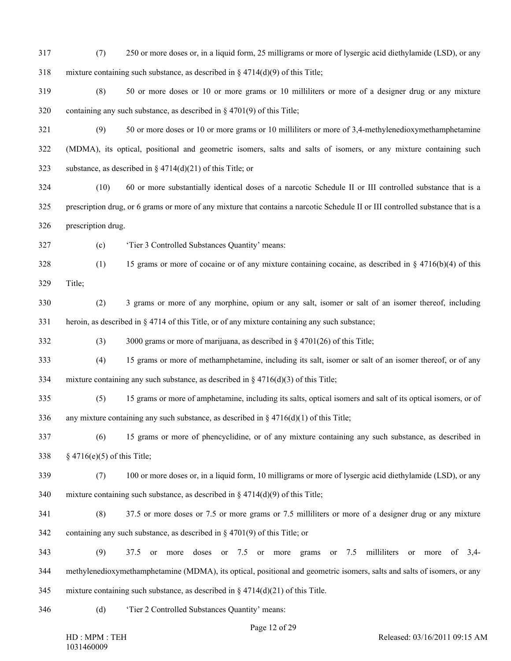- 317 (7) 250 or more doses or, in a liquid form, 25 milligrams or more of lysergic acid diethylamide (LSD), or any 318 mixture containing such substance, as described in  $\S 4714(d)(9)$  of this Title;
- 319 (8) 50 or more doses or 10 or more grams or 10 milliliters or more of a designer drug or any mixture 320 containing any such substance, as described in § 4701(9) of this Title;
- 321 (9) 50 or more doses or 10 or more grams or 10 milliliters or more of 3,4-methylenedioxymethamphetamine 322 (MDMA), its optical, positional and geometric isomers, salts and salts of isomers, or any mixture containing such 323 substance, as described in  $\S 4714(d)(21)$  of this Title; or
- 324 (10) 60 or more substantially identical doses of a narcotic Schedule II or III controlled substance that is a 325 prescription drug, or 6 grams or more of any mixture that contains a narcotic Schedule II or III controlled substance that is a 326 prescription drug.
- 327 (c) 'Tier 3 Controlled Substances Quantity' means:
- 328 (1) 15 grams or more of cocaine or of any mixture containing cocaine, as described in § 4716(b)(4) of this 329 Title;
- 
- 330 (2) 3 grams or more of any morphine, opium or any salt, isomer or salt of an isomer thereof, including 331 heroin, as described in § 4714 of this Title, or of any mixture containing any such substance;
- 332 (3) 3000 grams or more of marijuana, as described in § 4701(26) of this Title;
- 333 (4) 15 grams or more of methamphetamine, including its salt, isomer or salt of an isomer thereof, or of any 334 mixture containing any such substance, as described in  $\S$  4716(d)(3) of this Title;
- 
- 335 (5) 15 grams or more of amphetamine, including its salts, optical isomers and salt of its optical isomers, or of 336 any mixture containing any such substance, as described in  $\S$  4716(d)(1) of this Title;
- 337 (6) 15 grams or more of phencyclidine, or of any mixture containing any such substance, as described in 338 § 4716(e)(5) of this Title;
- 339 (7) 100 or more doses or, in a liquid form, 10 milligrams or more of lysergic acid diethylamide (LSD), or any 340 mixture containing such substance, as described in § 4714(d)(9) of this Title;
- 341 (8) 37.5 or more doses or 7.5 or more grams or 7.5 milliliters or more of a designer drug or any mixture 342 containing any such substance, as described in § 4701(9) of this Title; or
- 343 (9) 37.5 or more doses or 7.5 or more grams or 7.5 milliliters or more of 3,4- 344 methylenedioxymethamphetamine (MDMA), its optical, positional and geometric isomers, salts and salts of isomers, or any 345 mixture containing such substance, as described in  $\S 4714(d)(21)$  of this Title.
- 
- 346 (d) 'Tier 2 Controlled Substances Quantity' means: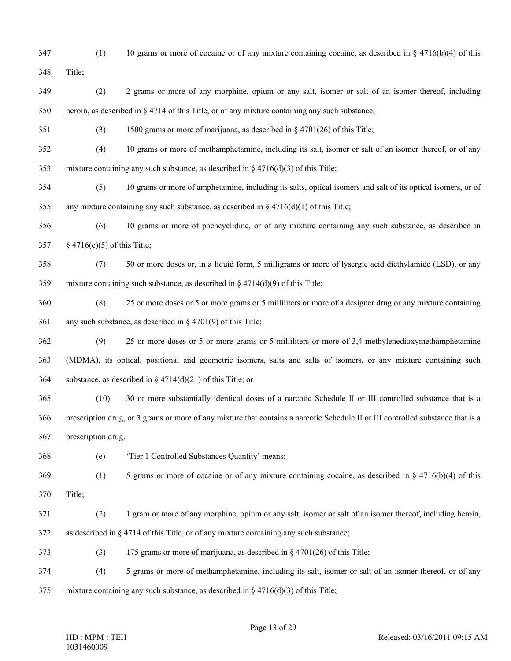347 (1) 10 grams or more of cocaine or of any mixture containing cocaine, as described in § 4716(b)(4) of this 348 Title;

- 349 (2) 2 grams or more of any morphine, opium or any salt, isomer or salt of an isomer thereof, including 350 heroin, as described in § 4714 of this Title, or of any mixture containing any such substance;
- 351 (3) 1500 grams or more of marijuana, as described in § 4701(26) of this Title;
- 352 (4) 10 grams or more of methamphetamine, including its salt, isomer or salt of an isomer thereof, or of any 353 mixture containing any such substance, as described in § 4716(d)(3) of this Title;
- 354 (5) 10 grams or more of amphetamine, including its salts, optical isomers and salt of its optical isomers, or of 355 any mixture containing any such substance, as described in  $\S 4716(d)(1)$  of this Title;
- 356 (6) 10 grams or more of phencyclidine, or of any mixture containing any such substance, as described in 357 § 4716(e)(5) of this Title;
- 358 (7) 50 or more doses or, in a liquid form, 5 milligrams or more of lysergic acid diethylamide (LSD), or any 359 mixture containing such substance, as described in § 4714(d)(9) of this Title;
- 360 (8) 25 or more doses or 5 or more grams or 5 milliliters or more of a designer drug or any mixture containing 361 any such substance, as described in § 4701(9) of this Title;
- 362 (9) 25 or more doses or 5 or more grams or 5 milliliters or more of 3,4-methylenedioxymethamphetamine 363 (MDMA), its optical, positional and geometric isomers, salts and salts of isomers, or any mixture containing such 364 substance, as described in  $\S 4714(d)(21)$  of this Title; or
- 365 (10) 30 or more substantially identical doses of a narcotic Schedule II or III controlled substance that is a 366 prescription drug, or 3 grams or more of any mixture that contains a narcotic Schedule II or III controlled substance that is a 367 prescription drug.
- 368 (e) 'Tier 1 Controlled Substances Quantity' means:
- 369 (1) 5 grams or more of cocaine or of any mixture containing cocaine, as described in § 4716(b)(4) of this 370 Title;
- 371 (2) 1 gram or more of any morphine, opium or any salt, isomer or salt of an isomer thereof, including heroin,
- 372 as described in § 4714 of this Title, or of any mixture containing any such substance;
- 373 (3) 175 grams or more of marijuana, as described in § 4701(26) of this Title;
- 374 (4) 5 grams or more of methamphetamine, including its salt, isomer or salt of an isomer thereof, or of any 375 mixture containing any such substance, as described in § 4716(d)(3) of this Title;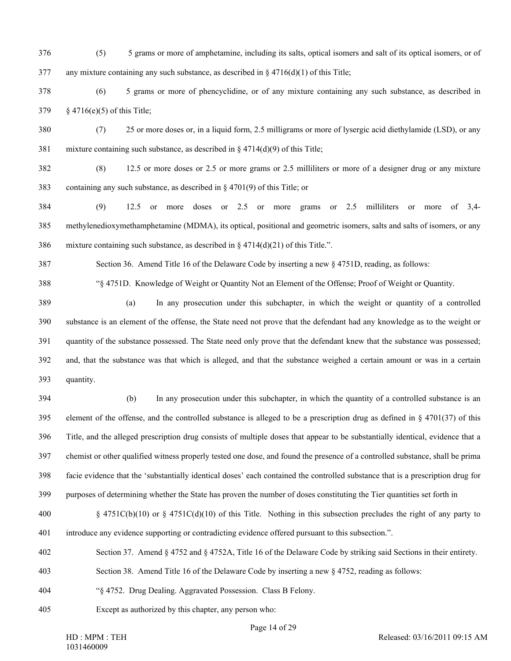- 376 (5) 5 grams or more of amphetamine, including its salts, optical isomers and salt of its optical isomers, or of 377 any mixture containing any such substance, as described in  $\S 4716(d)(1)$  of this Title;
- 378 (6) 5 grams or more of phencyclidine, or of any mixture containing any such substance, as described in 379 § 4716(e)(5) of this Title;
- 

380 (7) 25 or more doses or, in a liquid form, 2.5 milligrams or more of lysergic acid diethylamide (LSD), or any 381 mixture containing such substance, as described in § 4714(d)(9) of this Title;

382 (8) 12.5 or more doses or 2.5 or more grams or 2.5 milliliters or more of a designer drug or any mixture 383 containing any such substance, as described in § 4701(9) of this Title; or

384 (9) 12.5 or more doses or 2.5 or more grams or 2.5 milliliters or more of 3,4- 385 methylenedioxymethamphetamine (MDMA), its optical, positional and geometric isomers, salts and salts of isomers, or any 386 mixture containing such substance, as described in  $\S 4714(d)(21)$  of this Title.".

387 Section 36. Amend Title 16 of the Delaware Code by inserting a new § 4751D, reading, as follows:

388 "§ 4751D. Knowledge of Weight or Quantity Not an Element of the Offense; Proof of Weight or Quantity.

389 (a) In any prosecution under this subchapter, in which the weight or quantity of a controlled 390 substance is an element of the offense, the State need not prove that the defendant had any knowledge as to the weight or 391 quantity of the substance possessed. The State need only prove that the defendant knew that the substance was possessed; 392 and, that the substance was that which is alleged, and that the substance weighed a certain amount or was in a certain 393 quantity.

394 (b) In any prosecution under this subchapter, in which the quantity of a controlled substance is an 395 element of the offense, and the controlled substance is alleged to be a prescription drug as defined in  $\S$  4701(37) of this 396 Title, and the alleged prescription drug consists of multiple doses that appear to be substantially identical, evidence that a 397 chemist or other qualified witness properly tested one dose, and found the presence of a controlled substance, shall be prima 398 facie evidence that the 'substantially identical doses' each contained the controlled substance that is a prescription drug for 399 purposes of determining whether the State has proven the number of doses constituting the Tier quantities set forth in

400 § 4751C(b)(10) or § 4751C(d)(10) of this Title. Nothing in this subsection precludes the right of any party to 401 introduce any evidence supporting or contradicting evidence offered pursuant to this subsection.".

402 Section 37. Amend § 4752 and § 4752A, Title 16 of the Delaware Code by striking said Sections in their entirety.

- 403 Section 38. Amend Title 16 of the Delaware Code by inserting a new § 4752, reading as follows:
- 404 "§ 4752. Drug Dealing. Aggravated Possession. Class B Felony.
- 405 Except as authorized by this chapter, any person who: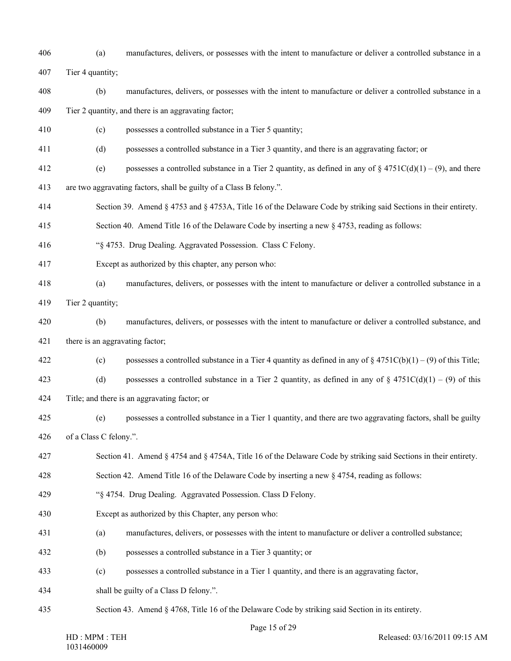- 406 (a) manufactures, delivers, or possesses with the intent to manufacture or deliver a controlled substance in a
- 407 Tier 4 quantity;
- 408 (b) manufactures, delivers, or possesses with the intent to manufacture or deliver a controlled substance in a
- 409 Tier 2 quantity, and there is an aggravating factor;
- 410 (c) possesses a controlled substance in a Tier 5 quantity;
- 411 (d) possesses a controlled substance in a Tier 3 quantity, and there is an aggravating factor; or
- 412 (e) possesses a controlled substance in a Tier 2 quantity, as defined in any of  $§$  4751C(d)(1) (9), and there
- 413 are two aggravating factors, shall be guilty of a Class B felony.".
- 414 Section 39. Amend § 4753 and § 4753A, Title 16 of the Delaware Code by striking said Sections in their entirety.
- 415 Section 40. Amend Title 16 of the Delaware Code by inserting a new § 4753, reading as follows:
- 416 "§ 4753. Drug Dealing. Aggravated Possession. Class C Felony.
- 417 Except as authorized by this chapter, any person who:
- 418 (a) manufactures, delivers, or possesses with the intent to manufacture or deliver a controlled substance in a
- 419 Tier 2 quantity;
- 420 (b) manufactures, delivers, or possesses with the intent to manufacture or deliver a controlled substance, and 421 there is an aggravating factor;
- 422 (c) possesses a controlled substance in a Tier 4 quantity as defined in any of  $\frac{84751C(b)(1)-(9)}{6}$  of this Title;
- 423 (d) possesses a controlled substance in a Tier 2 quantity, as defined in any of  $\S$  4751C(d)(1) (9) of this
- 424 Title; and there is an aggravating factor; or
- 425 (e) possesses a controlled substance in a Tier 1 quantity, and there are two aggravating factors, shall be guilty 426 of a Class C felony.".
- 427 Section 41. Amend § 4754 and § 4754A, Title 16 of the Delaware Code by striking said Sections in their entirety.
- 428 Section 42. Amend Title 16 of the Delaware Code by inserting a new § 4754, reading as follows:
- 429 "§ 4754. Drug Dealing. Aggravated Possession. Class D Felony.
- 430 Except as authorized by this Chapter, any person who:
- 431 (a) manufactures, delivers, or possesses with the intent to manufacture or deliver a controlled substance;
- 432 (b) possesses a controlled substance in a Tier 3 quantity; or
- 433 (c) possesses a controlled substance in a Tier 1 quantity, and there is an aggravating factor,
- 434 shall be guilty of a Class D felony.".
- 435 Section 43. Amend § 4768, Title 16 of the Delaware Code by striking said Section in its entirety.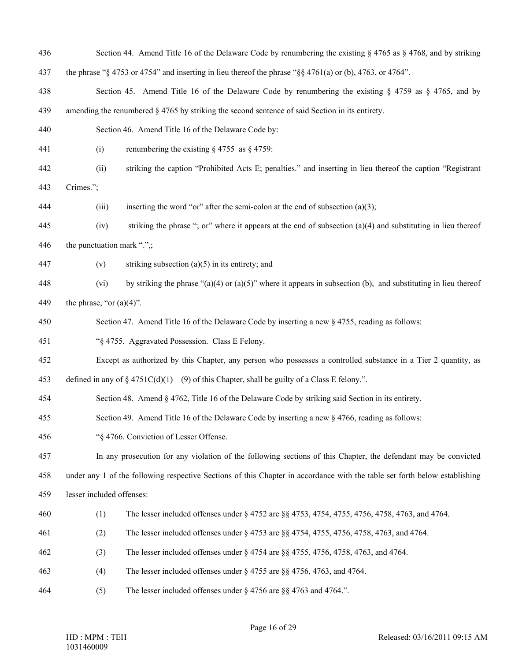436 Section 44. Amend Title 16 of the Delaware Code by renumbering the existing § 4765 as § 4768, and by striking 437 the phrase "§ 4753 or 4754" and inserting in lieu thereof the phrase "§§ 4761(a) or (b), 4763, or 4764". 438 Section 45. Amend Title 16 of the Delaware Code by renumbering the existing § 4759 as § 4765, and by 439 amending the renumbered § 4765 by striking the second sentence of said Section in its entirety. 440 Section 46. Amend Title 16 of the Delaware Code by: 441 (i) renumbering the existing § 4755 as § 4759: 442 (ii) striking the caption "Prohibited Acts E; penalties." and inserting in lieu thereof the caption "Registrant 443 Crimes."; 444 (iii) inserting the word "or" after the semi-colon at the end of subsection (a)(3); 445 (iv) striking the phrase "; or" where it appears at the end of subsection (a)(4) and substituting in lieu thereof 446 the punctuation mark " $\therefore$ ; 447 (v) striking subsection (a)(5) in its entirety; and 448 (vi) by striking the phrase "(a)(4) or (a)(5)" where it appears in subsection (b), and substituting in lieu thereof 449 the phrase, "or  $(a)(4)$ ". 450 Section 47. Amend Title 16 of the Delaware Code by inserting a new § 4755, reading as follows: 451 "§ 4755. Aggravated Possession. Class E Felony. 452 Except as authorized by this Chapter, any person who possesses a controlled substance in a Tier 2 quantity, as 453 defined in any of  $\S 4751C(d)(1) - (9)$  of this Chapter, shall be guilty of a Class E felony.". 454 Section 48. Amend § 4762, Title 16 of the Delaware Code by striking said Section in its entirety. 455 Section 49. Amend Title 16 of the Delaware Code by inserting a new § 4766, reading as follows: 456 "§ 4766. Conviction of Lesser Offense. 457 In any prosecution for any violation of the following sections of this Chapter, the defendant may be convicted 458 under any 1 of the following respective Sections of this Chapter in accordance with the table set forth below establishing 459 lesser included offenses: 460 (1) The lesser included offenses under § 4752 are §§ 4753, 4754, 4755, 4756, 4758, 4763, and 4764. 461 (2) The lesser included offenses under § 4753 are §§ 4754, 4755, 4756, 4758, 4763, and 4764. 462 (3) The lesser included offenses under § 4754 are §§ 4755, 4756, 4758, 4763, and 4764. 463 (4) The lesser included offenses under § 4755 are §§ 4756, 4763, and 4764. 464 (5) The lesser included offenses under § 4756 are §§ 4763 and 4764.".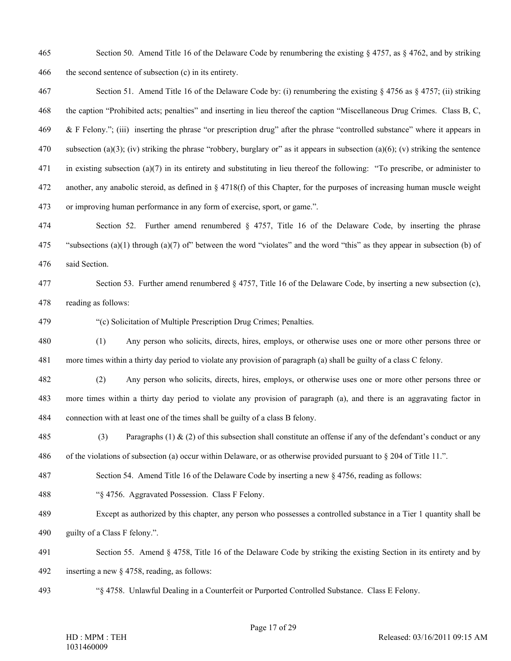465 Section 50. Amend Title 16 of the Delaware Code by renumbering the existing § 4757, as § 4762, and by striking 466 the second sentence of subsection (c) in its entirety.

467 Section 51. Amend Title 16 of the Delaware Code by: (i) renumbering the existing § 4756 as § 4757; (ii) striking 468 the caption "Prohibited acts; penalties" and inserting in lieu thereof the caption "Miscellaneous Drug Crimes. Class B, C, 469 & F Felony."; (iii) inserting the phrase "or prescription drug" after the phrase "controlled substance" where it appears in 470 subsection (a)(3); (iv) striking the phrase "robbery, burglary or" as it appears in subsection (a)(6); (v) striking the sentence 471 in existing subsection (a)(7) in its entirety and substituting in lieu thereof the following: "To prescribe, or administer to 472 another, any anabolic steroid, as defined in § 4718(f) of this Chapter, for the purposes of increasing human muscle weight 473 or improving human performance in any form of exercise, sport, or game.".

474 Section 52. Further amend renumbered § 4757, Title 16 of the Delaware Code, by inserting the phrase 475 "subsections (a)(1) through (a)(7) of" between the word "violates" and the word "this" as they appear in subsection (b) of 476 said Section.

477 Section 53. Further amend renumbered § 4757, Title 16 of the Delaware Code, by inserting a new subsection (c), 478 reading as follows:

479 "(c) Solicitation of Multiple Prescription Drug Crimes; Penalties.

480 (1) Any person who solicits, directs, hires, employs, or otherwise uses one or more other persons three or 481 more times within a thirty day period to violate any provision of paragraph (a) shall be guilty of a class C felony.

482 (2) Any person who solicits, directs, hires, employs, or otherwise uses one or more other persons three or 483 more times within a thirty day period to violate any provision of paragraph (a), and there is an aggravating factor in 484 connection with at least one of the times shall be guilty of a class B felony.

485 (3) Paragraphs (1)  $\&$  (2) of this subsection shall constitute an offense if any of the defendant's conduct or any 486 of the violations of subsection (a) occur within Delaware, or as otherwise provided pursuant to § 204 of Title 11.".

487 Section 54. Amend Title 16 of the Delaware Code by inserting a new § 4756, reading as follows:

488 "§ 4756. Aggravated Possession. Class F Felony.

489 Except as authorized by this chapter, any person who possesses a controlled substance in a Tier 1 quantity shall be 490 guilty of a Class F felony.".

491 Section 55. Amend § 4758, Title 16 of the Delaware Code by striking the existing Section in its entirety and by

492 inserting a new § 4758, reading, as follows:

493 "§ 4758. Unlawful Dealing in a Counterfeit or Purported Controlled Substance. Class E Felony.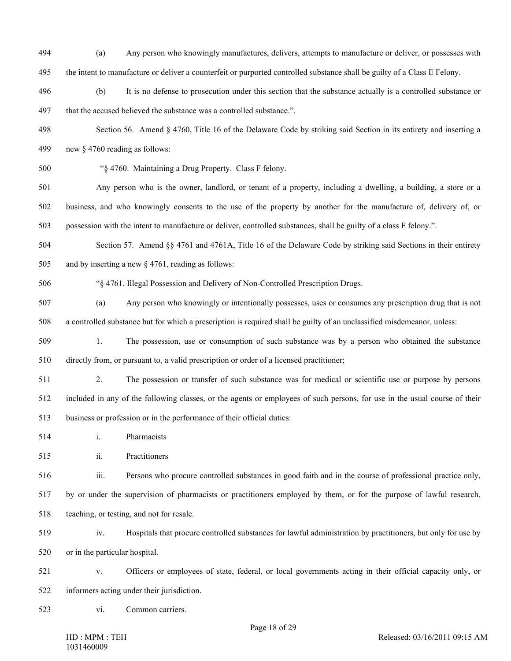- 494 (a) Any person who knowingly manufactures, delivers, attempts to manufacture or deliver, or possesses with 495 the intent to manufacture or deliver a counterfeit or purported controlled substance shall be guilty of a Class E Felony.
- 496 (b) It is no defense to prosecution under this section that the substance actually is a controlled substance or 497 that the accused believed the substance was a controlled substance.".
- 498 Section 56. Amend § 4760, Title 16 of the Delaware Code by striking said Section in its entirety and inserting a 499 new § 4760 reading as follows:
- 

500 "§ 4760. Maintaining a Drug Property. Class F felony.

501 Any person who is the owner, landlord, or tenant of a property, including a dwelling, a building, a store or a 502 business, and who knowingly consents to the use of the property by another for the manufacture of, delivery of, or 503 possession with the intent to manufacture or deliver, controlled substances, shall be guilty of a class F felony.".

504 Section 57. Amend §§ 4761 and 4761A, Title 16 of the Delaware Code by striking said Sections in their entirety 505 and by inserting a new § 4761, reading as follows:

506 "§ 4761. Illegal Possession and Delivery of Non-Controlled Prescription Drugs.

507 (a) Any person who knowingly or intentionally possesses, uses or consumes any prescription drug that is not 508 a controlled substance but for which a prescription is required shall be guilty of an unclassified misdemeanor, unless:

509 1. The possession, use or consumption of such substance was by a person who obtained the substance 510 directly from, or pursuant to, a valid prescription or order of a licensed practitioner;

511 2. The possession or transfer of such substance was for medical or scientific use or purpose by persons 512 included in any of the following classes, or the agents or employees of such persons, for use in the usual course of their 513 business or profession or in the performance of their official duties:

514 i. Pharmacists

515 ii. Practitioners

516 iii. Persons who procure controlled substances in good faith and in the course of professional practice only,

517 by or under the supervision of pharmacists or practitioners employed by them, or for the purpose of lawful research, 518 teaching, or testing, and not for resale.

519 iv. Hospitals that procure controlled substances for lawful administration by practitioners, but only for use by 520 or in the particular hospital.

521 v. Officers or employees of state, federal, or local governments acting in their official capacity only, or 522 informers acting under their jurisdiction.

523 vi. Common carriers.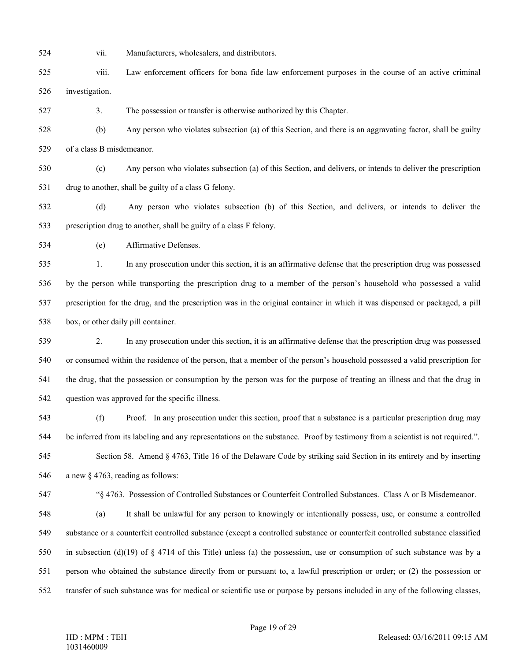- 
- 524 vii. Manufacturers, wholesalers, and distributors.
- 525 viii. Law enforcement officers for bona fide law enforcement purposes in the course of an active criminal 526 investigation.
- 527 3. The possession or transfer is otherwise authorized by this Chapter.
- 528 (b) Any person who violates subsection (a) of this Section, and there is an aggravating factor, shall be guilty 529 of a class B misdemeanor.
- 530 (c) Any person who violates subsection (a) of this Section, and delivers, or intends to deliver the prescription 531 drug to another, shall be guilty of a class G felony.
- 532 (d) Any person who violates subsection (b) of this Section, and delivers, or intends to deliver the 533 prescription drug to another, shall be guilty of a class F felony.
- 534 (e) Affirmative Defenses.

535 1. In any prosecution under this section, it is an affirmative defense that the prescription drug was possessed 536 by the person while transporting the prescription drug to a member of the person's household who possessed a valid 537 prescription for the drug, and the prescription was in the original container in which it was dispensed or packaged, a pill 538 box, or other daily pill container.

539 2. In any prosecution under this section, it is an affirmative defense that the prescription drug was possessed 540 or consumed within the residence of the person, that a member of the person's household possessed a valid prescription for 541 the drug, that the possession or consumption by the person was for the purpose of treating an illness and that the drug in 542 question was approved for the specific illness.

- 543 (f) Proof. In any prosecution under this section, proof that a substance is a particular prescription drug may 544 be inferred from its labeling and any representations on the substance. Proof by testimony from a scientist is not required.". 545 Section 58. Amend § 4763, Title 16 of the Delaware Code by striking said Section in its entirety and by inserting 546 a new § 4763, reading as follows:
- 547 "§ 4763. Possession of Controlled Substances or Counterfeit Controlled Substances. Class A or B Misdemeanor. 548 (a) It shall be unlawful for any person to knowingly or intentionally possess, use, or consume a controlled 549 substance or a counterfeit controlled substance (except a controlled substance or counterfeit controlled substance classified 550 in subsection (d)(19) of § 4714 of this Title) unless (a) the possession, use or consumption of such substance was by a
- 551 person who obtained the substance directly from or pursuant to, a lawful prescription or order; or (2) the possession or 552 transfer of such substance was for medical or scientific use or purpose by persons included in any of the following classes,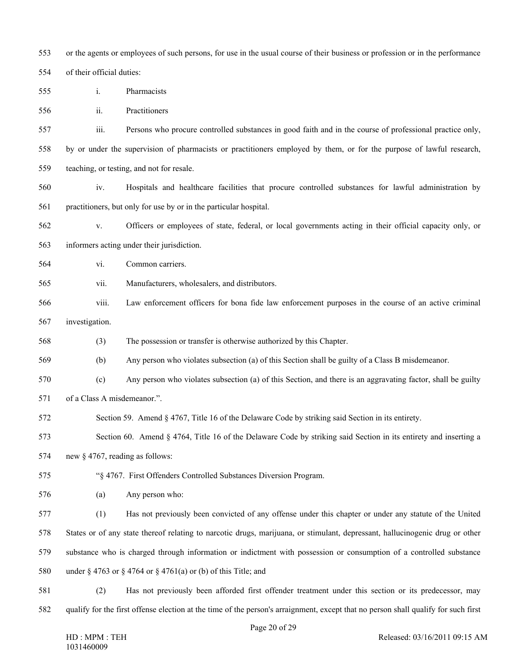553 or the agents or employees of such persons, for use in the usual course of their business or profession or in the performance 554 of their official duties:

- 555 i. Pharmacists
- 556 ii. Practitioners

557 iii. Persons who procure controlled substances in good faith and in the course of professional practice only,

558 by or under the supervision of pharmacists or practitioners employed by them, or for the purpose of lawful research,

559 teaching, or testing, and not for resale.

560 iv. Hospitals and healthcare facilities that procure controlled substances for lawful administration by 561 practitioners, but only for use by or in the particular hospital.

562 v. Officers or employees of state, federal, or local governments acting in their official capacity only, or

563 informers acting under their jurisdiction.

- 564 vi. Common carriers.
- 565 vii. Manufacturers, wholesalers, and distributors.
- 566 viii. Law enforcement officers for bona fide law enforcement purposes in the course of an active criminal
- 567 investigation.

568 (3) The possession or transfer is otherwise authorized by this Chapter.

569 (b) Any person who violates subsection (a) of this Section shall be guilty of a Class B misdemeanor.

- 570 (c) Any person who violates subsection (a) of this Section, and there is an aggravating factor, shall be guilty
- 571 of a Class A misdemeanor.".

572 Section 59. Amend § 4767, Title 16 of the Delaware Code by striking said Section in its entirety.

573 Section 60. Amend § 4764, Title 16 of the Delaware Code by striking said Section in its entirety and inserting a

574 new § 4767, reading as follows:

575 "§ 4767. First Offenders Controlled Substances Diversion Program.

576 (a) Any person who:

577 (1) Has not previously been convicted of any offense under this chapter or under any statute of the United 578 States or of any state thereof relating to narcotic drugs, marijuana, or stimulant, depressant, hallucinogenic drug or other 579 substance who is charged through information or indictment with possession or consumption of a controlled substance 580 under § 4763 or § 4764 or § 4761(a) or (b) of this Title; and

581 (2) Has not previously been afforded first offender treatment under this section or its predecessor, may 582 qualify for the first offense election at the time of the person's arraignment, except that no person shall qualify for such first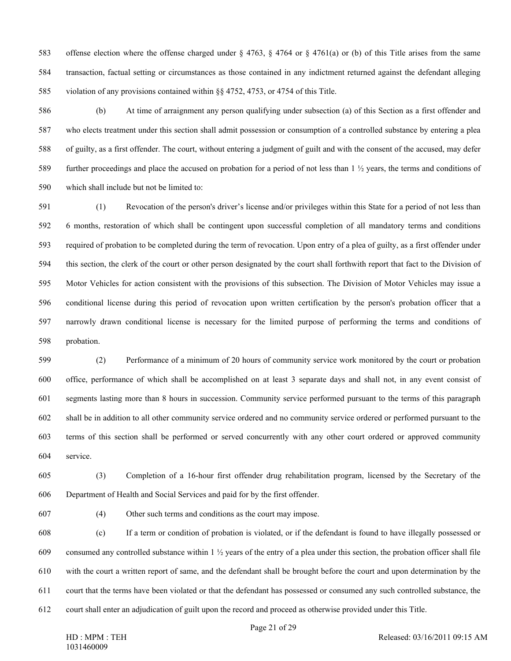583 offense election where the offense charged under § 4763, § 4764 or § 4761(a) or (b) of this Title arises from the same 584 transaction, factual setting or circumstances as those contained in any indictment returned against the defendant alleging 585 violation of any provisions contained within §§ 4752, 4753, or 4754 of this Title.

586 (b) At time of arraignment any person qualifying under subsection (a) of this Section as a first offender and 587 who elects treatment under this section shall admit possession or consumption of a controlled substance by entering a plea 588 of guilty, as a first offender. The court, without entering a judgment of guilt and with the consent of the accused, may defer 589 further proceedings and place the accused on probation for a period of not less than 1 ½ years, the terms and conditions of 590 which shall include but not be limited to:

591 (1) Revocation of the person's driver's license and/or privileges within this State for a period of not less than 592 6 months, restoration of which shall be contingent upon successful completion of all mandatory terms and conditions 593 required of probation to be completed during the term of revocation. Upon entry of a plea of guilty, as a first offender under 594 this section, the clerk of the court or other person designated by the court shall forthwith report that fact to the Division of 595 Motor Vehicles for action consistent with the provisions of this subsection. The Division of Motor Vehicles may issue a 596 conditional license during this period of revocation upon written certification by the person's probation officer that a 597 narrowly drawn conditional license is necessary for the limited purpose of performing the terms and conditions of 598 probation.

599 (2) Performance of a minimum of 20 hours of community service work monitored by the court or probation 600 office, performance of which shall be accomplished on at least 3 separate days and shall not, in any event consist of 601 segments lasting more than 8 hours in succession. Community service performed pursuant to the terms of this paragraph 602 shall be in addition to all other community service ordered and no community service ordered or performed pursuant to the 603 terms of this section shall be performed or served concurrently with any other court ordered or approved community 604 service.

605 (3) Completion of a 16-hour first offender drug rehabilitation program, licensed by the Secretary of the 606 Department of Health and Social Services and paid for by the first offender.

607 (4) Other such terms and conditions as the court may impose.

608 (c) If a term or condition of probation is violated, or if the defendant is found to have illegally possessed or 609 consumed any controlled substance within  $1\frac{1}{2}$  years of the entry of a plea under this section, the probation officer shall file 610 with the court a written report of same, and the defendant shall be brought before the court and upon determination by the 611 court that the terms have been violated or that the defendant has possessed or consumed any such controlled substance, the 612 court shall enter an adjudication of guilt upon the record and proceed as otherwise provided under this Title.

Page 21 of 29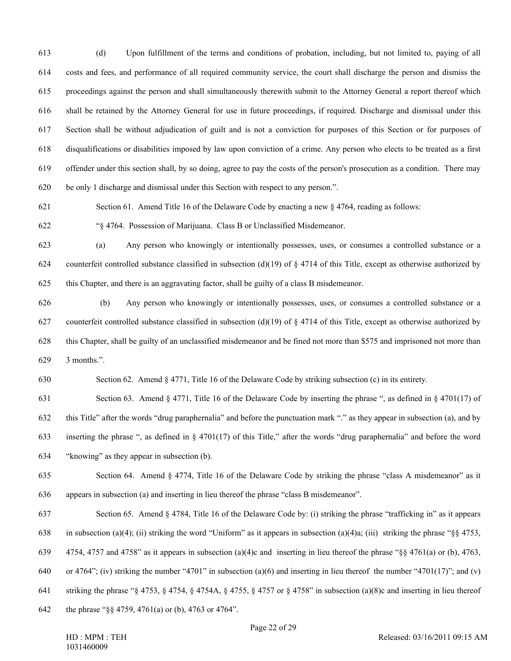613 (d) Upon fulfillment of the terms and conditions of probation, including, but not limited to, paying of all 614 costs and fees, and performance of all required community service, the court shall discharge the person and dismiss the 615 proceedings against the person and shall simultaneously therewith submit to the Attorney General a report thereof which 616 shall be retained by the Attorney General for use in future proceedings, if required. Discharge and dismissal under this 617 Section shall be without adjudication of guilt and is not a conviction for purposes of this Section or for purposes of 618 disqualifications or disabilities imposed by law upon conviction of a crime. Any person who elects to be treated as a first 619 offender under this section shall, by so doing, agree to pay the costs of the person's prosecution as a condition. There may 620 be only 1 discharge and dismissal under this Section with respect to any person.".

621 Section 61. Amend Title 16 of the Delaware Code by enacting a new § 4764, reading as follows:

622 "§ 4764. Possession of Marijuana. Class B or Unclassified Misdemeanor.

623 (a) Any person who knowingly or intentionally possesses, uses, or consumes a controlled substance or a 624 counterfeit controlled substance classified in subsection (d)(19) of  $\S$  4714 of this Title, except as otherwise authorized by

625 this Chapter, and there is an aggravating factor, shall be guilty of a class B misdemeanor.

626 (b) Any person who knowingly or intentionally possesses, uses, or consumes a controlled substance or a 627 counterfeit controlled substance classified in subsection (d)(19) of  $\S$  4714 of this Title, except as otherwise authorized by 628 this Chapter, shall be guilty of an unclassified misdemeanor and be fined not more than \$575 and imprisoned not more than 629 3 months.".

630 Section 62. Amend § 4771, Title 16 of the Delaware Code by striking subsection (c) in its entirety.

631 Section 63. Amend § 4771, Title 16 of the Delaware Code by inserting the phrase ", as defined in § 4701(17) of 632 this Title" after the words "drug paraphernalia" and before the punctuation mark "." as they appear in subsection (a), and by 633 inserting the phrase ", as defined in § 4701(17) of this Title," after the words "drug paraphernalia" and before the word 634 "knowing" as they appear in subsection (b).

- 635 Section 64. Amend § 4774, Title 16 of the Delaware Code by striking the phrase "class A misdemeanor" as it 636 appears in subsection (a) and inserting in lieu thereof the phrase "class B misdemeanor".
- 637 Section 65. Amend § 4784, Title 16 of the Delaware Code by: (i) striking the phrase "trafficking in" as it appears 638 in subsection (a)(4); (ii) striking the word "Uniform" as it appears in subsection (a)(4)a; (iii) striking the phrase "§§ 4753, 639 4754, 4757 and 4758" as it appears in subsection (a)(4)c and inserting in lieu thereof the phrase "§§ 4761(a) or (b), 4763, 640 or 4764"; (iv) striking the number "4701" in subsection (a)(6) and inserting in lieu thereof the number "4701(17)"; and (v)
- 641 striking the phrase "§ 4753, § 4754, § 4754A, § 4755, § 4757 or § 4758" in subsection (a)(8)c and inserting in lieu thereof

642 the phrase "§§ 4759, 4761(a) or (b), 4763 or 4764".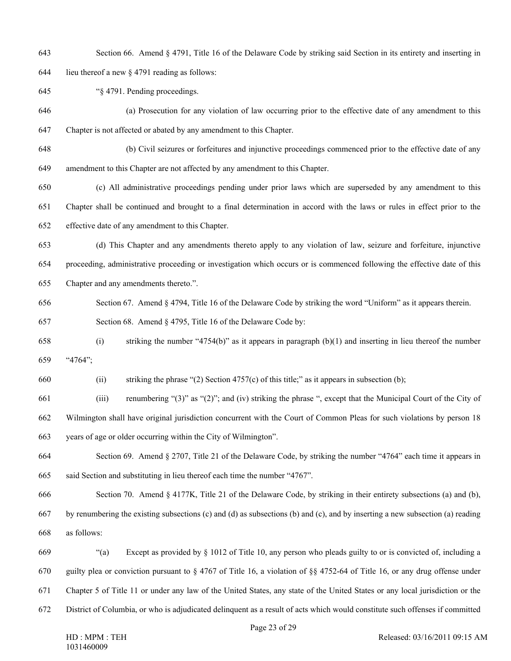643 Section 66. Amend § 4791, Title 16 of the Delaware Code by striking said Section in its entirety and inserting in

644 lieu thereof a new  $\S$  4791 reading as follows:

645 "§ 4791. Pending proceedings.

- 646 (a) Prosecution for any violation of law occurring prior to the effective date of any amendment to this 647 Chapter is not affected or abated by any amendment to this Chapter.
- 648 (b) Civil seizures or forfeitures and injunctive proceedings commenced prior to the effective date of any 649 amendment to this Chapter are not affected by any amendment to this Chapter.
- 650 (c) All administrative proceedings pending under prior laws which are superseded by any amendment to this 651 Chapter shall be continued and brought to a final determination in accord with the laws or rules in effect prior to the 652 effective date of any amendment to this Chapter.
- 653 (d) This Chapter and any amendments thereto apply to any violation of law, seizure and forfeiture, injunctive 654 proceeding, administrative proceeding or investigation which occurs or is commenced following the effective date of this
- 655 Chapter and any amendments thereto.".
- 656 Section 67. Amend § 4794, Title 16 of the Delaware Code by striking the word "Uniform" as it appears therein.
- 657 Section 68. Amend § 4795, Title 16 of the Delaware Code by:
- 658 (i) striking the number "4754(b)" as it appears in paragraph (b)(1) and inserting in lieu thereof the number 659 "4764";
- 660 (ii) striking the phrase "(2) Section 4757(c) of this title;" as it appears in subsection (b);
- 661 (iii) renumbering "(3)" as "(2)"; and (iv) striking the phrase ", except that the Municipal Court of the City of 662 Wilmington shall have original jurisdiction concurrent with the Court of Common Pleas for such violations by person 18 663 years of age or older occurring within the City of Wilmington".
- 664 Section 69. Amend § 2707, Title 21 of the Delaware Code, by striking the number "4764" each time it appears in 665 said Section and substituting in lieu thereof each time the number "4767".
- 666 Section 70. Amend § 4177K, Title 21 of the Delaware Code, by striking in their entirety subsections (a) and (b),
- 667 by renumbering the existing subsections (c) and (d) as subsections (b) and (c), and by inserting a new subsection (a) reading 668 as follows:
- 669 "(a) Except as provided by § 1012 of Title 10, any person who pleads guilty to or is convicted of, including a 670 guilty plea or conviction pursuant to § 4767 of Title 16, a violation of §§ 4752-64 of Title 16, or any drug offense under 671 Chapter 5 of Title 11 or under any law of the United States, any state of the United States or any local jurisdiction or the 672 District of Columbia, or who is adjudicated delinquent as a result of acts which would constitute such offenses if committed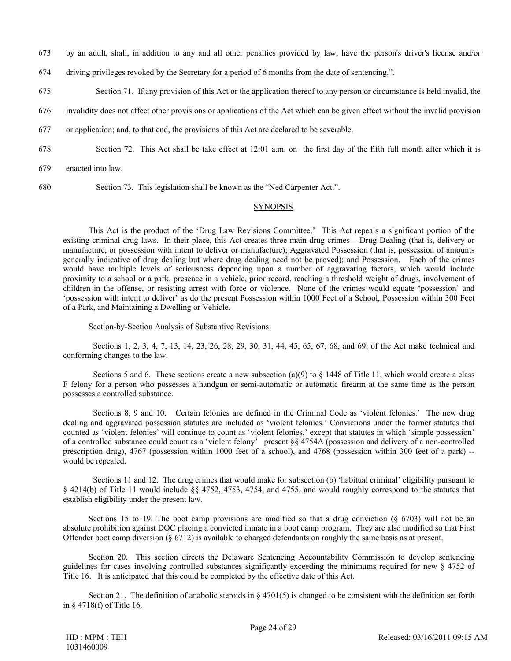- 673 by an adult, shall, in addition to any and all other penalties provided by law, have the person's driver's license and/or
- 674 driving privileges revoked by the Secretary for a period of 6 months from the date of sentencing.".
- 675 Section 71. If any provision of this Act or the application thereof to any person or circumstance is held invalid, the
- 676 invalidity does not affect other provisions or applications of the Act which can be given effect without the invalid provision
- 677 or application; and, to that end, the provisions of this Act are declared to be severable.
- 678 Section 72. This Act shall be take effect at 12:01 a.m. on the first day of the fifth full month after which it is
- 679 enacted into law.
- 680 Section 73. This legislation shall be known as the "Ned Carpenter Act.".

### SYNOPSIS

This Act is the product of the 'Drug Law Revisions Committee.' This Act repeals a significant portion of the existing criminal drug laws. In their place, this Act creates three main drug crimes – Drug Dealing (that is, delivery or manufacture, or possession with intent to deliver or manufacture); Aggravated Possession (that is, possession of amounts generally indicative of drug dealing but where drug dealing need not be proved); and Possession. Each of the crimes would have multiple levels of seriousness depending upon a number of aggravating factors, which would include proximity to a school or a park, presence in a vehicle, prior record, reaching a threshold weight of drugs, involvement of children in the offense, or resisting arrest with force or violence. None of the crimes would equate 'possession' and 'possession with intent to deliver' as do the present Possession within 1000 Feet of a School, Possession within 300 Feet of a Park, and Maintaining a Dwelling or Vehicle.

Section-by-Section Analysis of Substantive Revisions:

Sections 1, 2, 3, 4, 7, 13, 14, 23, 26, 28, 29, 30, 31, 44, 45, 65, 67, 68, and 69, of the Act make technical and conforming changes to the law.

Sections 5 and 6. These sections create a new subsection (a)(9) to  $\S$  1448 of Title 11, which would create a class F felony for a person who possesses a handgun or semi-automatic or automatic firearm at the same time as the person possesses a controlled substance.

Sections 8, 9 and 10. Certain felonies are defined in the Criminal Code as 'violent felonies.' The new drug dealing and aggravated possession statutes are included as 'violent felonies.' Convictions under the former statutes that counted as 'violent felonies' will continue to count as 'violent felonies,' except that statutes in which 'simple possession' of a controlled substance could count as a 'violent felony'– present §§ 4754A (possession and delivery of a non-controlled prescription drug), 4767 (possession within 1000 feet of a school), and 4768 (possession within 300 feet of a park) - would be repealed.

Sections 11 and 12. The drug crimes that would make for subsection (b) 'habitual criminal' eligibility pursuant to § 4214(b) of Title 11 would include §§ 4752, 4753, 4754, and 4755, and would roughly correspond to the statutes that establish eligibility under the present law.

Sections 15 to 19. The boot camp provisions are modified so that a drug conviction  $(\S 6703)$  will not be an absolute prohibition against DOC placing a convicted inmate in a boot camp program. They are also modified so that First Offender boot camp diversion (§ 6712) is available to charged defendants on roughly the same basis as at present.

Section 20. This section directs the Delaware Sentencing Accountability Commission to develop sentencing guidelines for cases involving controlled substances significantly exceeding the minimums required for new § 4752 of Title 16. It is anticipated that this could be completed by the effective date of this Act.

Section 21. The definition of anabolic steroids in  $\S$  4701(5) is changed to be consistent with the definition set forth in § 4718(f) of Title 16.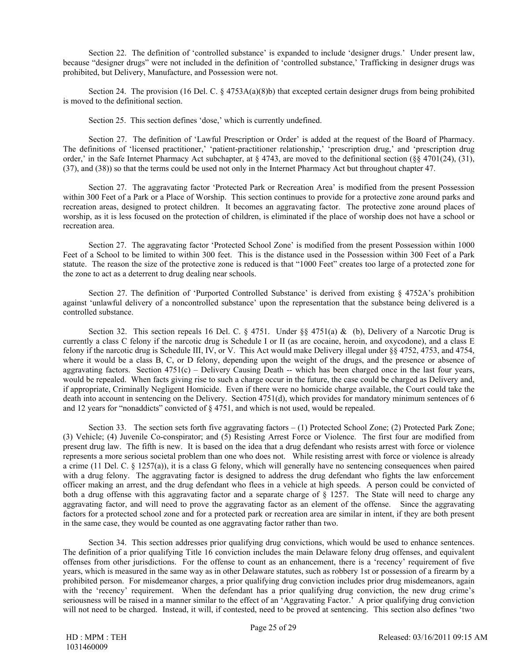Section 22. The definition of 'controlled substance' is expanded to include 'designer drugs.' Under present law, because "designer drugs" were not included in the definition of 'controlled substance,' Trafficking in designer drugs was prohibited, but Delivery, Manufacture, and Possession were not.

Section 24. The provision (16 Del. C. § 4753A(a)(8)b) that excepted certain designer drugs from being prohibited is moved to the definitional section.

Section 25. This section defines 'dose,' which is currently undefined.

Section 27. The definition of 'Lawful Prescription or Order' is added at the request of the Board of Pharmacy. The definitions of 'licensed practitioner,' 'patient-practitioner relationship,' 'prescription drug,' and 'prescription drug order,' in the Safe Internet Pharmacy Act subchapter, at  $\S 4743$ , are moved to the definitional section ( $\S 4701(24)$ , (31), (37), and (38)) so that the terms could be used not only in the Internet Pharmacy Act but throughout chapter 47.

Section 27. The aggravating factor 'Protected Park or Recreation Area' is modified from the present Possession within 300 Feet of a Park or a Place of Worship. This section continues to provide for a protective zone around parks and recreation areas, designed to protect children. It becomes an aggravating factor. The protective zone around places of worship, as it is less focused on the protection of children, is eliminated if the place of worship does not have a school or recreation area.

Section 27. The aggravating factor 'Protected School Zone' is modified from the present Possession within 1000 Feet of a School to be limited to within 300 feet. This is the distance used in the Possession within 300 Feet of a Park statute. The reason the size of the protective zone is reduced is that "1000 Feet" creates too large of a protected zone for the zone to act as a deterrent to drug dealing near schools.

Section 27. The definition of 'Purported Controlled Substance' is derived from existing § 4752A's prohibition against 'unlawful delivery of a noncontrolled substance' upon the representation that the substance being delivered is a controlled substance.

Section 32. This section repeals 16 Del. C. § 4751. Under §§ 4751(a) & (b), Delivery of a Narcotic Drug is currently a class C felony if the narcotic drug is Schedule I or II (as are cocaine, heroin, and oxycodone), and a class E felony if the narcotic drug is Schedule III, IV, or V. This Act would make Delivery illegal under §§ 4752, 4753, and 4754, where it would be a class B, C, or D felony, depending upon the weight of the drugs, and the presence or absence of aggravating factors. Section  $4751(c)$  – Delivery Causing Death -- which has been charged once in the last four years, would be repealed. When facts giving rise to such a charge occur in the future, the case could be charged as Delivery and, if appropriate, Criminally Negligent Homicide. Even if there were no homicide charge available, the Court could take the death into account in sentencing on the Delivery. Section 4751(d), which provides for mandatory minimum sentences of 6 and 12 years for "nonaddicts" convicted of § 4751, and which is not used, would be repealed.

Section 33. The section sets forth five aggravating factors – (1) Protected School Zone; (2) Protected Park Zone; (3) Vehicle; (4) Juvenile Co-conspirator; and (5) Resisting Arrest Force or Violence. The first four are modified from present drug law. The fifth is new. It is based on the idea that a drug defendant who resists arrest with force or violence represents a more serious societal problem than one who does not. While resisting arrest with force or violence is already a crime (11 Del. C. § 1257(a)), it is a class G felony, which will generally have no sentencing consequences when paired with a drug felony. The aggravating factor is designed to address the drug defendant who fights the law enforcement officer making an arrest, and the drug defendant who flees in a vehicle at high speeds. A person could be convicted of both a drug offense with this aggravating factor and a separate charge of § 1257. The State will need to charge any aggravating factor, and will need to prove the aggravating factor as an element of the offense. Since the aggravating factors for a protected school zone and for a protected park or recreation area are similar in intent, if they are both present in the same case, they would be counted as one aggravating factor rather than two.

Section 34. This section addresses prior qualifying drug convictions, which would be used to enhance sentences. The definition of a prior qualifying Title 16 conviction includes the main Delaware felony drug offenses, and equivalent offenses from other jurisdictions. For the offense to count as an enhancement, there is a 'recency' requirement of five years, which is measured in the same way as in other Delaware statutes, such as robbery 1st or possession of a firearm by a prohibited person. For misdemeanor charges, a prior qualifying drug conviction includes prior drug misdemeanors, again with the 'recency' requirement. When the defendant has a prior qualifying drug conviction, the new drug crime's seriousness will be raised in a manner similar to the effect of an 'Aggravating Factor.' A prior qualifying drug conviction will not need to be charged. Instead, it will, if contested, need to be proved at sentencing. This section also defines 'two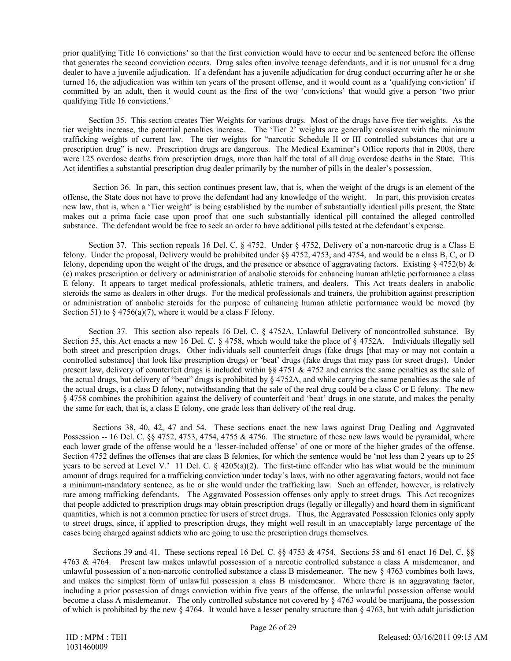prior qualifying Title 16 convictions' so that the first conviction would have to occur and be sentenced before the offense that generates the second conviction occurs. Drug sales often involve teenage defendants, and it is not unusual for a drug dealer to have a juvenile adjudication. If a defendant has a juvenile adjudication for drug conduct occurring after he or she turned 16, the adjudication was within ten years of the present offense, and it would count as a 'qualifying conviction' if committed by an adult, then it would count as the first of the two 'convictions' that would give a person 'two prior qualifying Title 16 convictions.'

Section 35. This section creates Tier Weights for various drugs. Most of the drugs have five tier weights. As the tier weights increase, the potential penalties increase. The 'Tier 2' weights are generally consistent with the minimum trafficking weights of current law. The tier weights for "narcotic Schedule II or III controlled substances that are a prescription drug" is new. Prescription drugs are dangerous. The Medical Examiner's Office reports that in 2008, there were 125 overdose deaths from prescription drugs, more than half the total of all drug overdose deaths in the State. This Act identifies a substantial prescription drug dealer primarily by the number of pills in the dealer's possession.

Section 36. In part, this section continues present law, that is, when the weight of the drugs is an element of the offense, the State does not have to prove the defendant had any knowledge of the weight. In part, this provision creates new law, that is, when a 'Tier weight' is being established by the number of substantially identical pills present, the State makes out a prima facie case upon proof that one such substantially identical pill contained the alleged controlled substance. The defendant would be free to seek an order to have additional pills tested at the defendant's expense.

Section 37. This section repeals 16 Del. C. § 4752. Under § 4752, Delivery of a non-narcotic drug is a Class E felony. Under the proposal, Delivery would be prohibited under §§ 4752, 4753, and 4754, and would be a class B, C, or D felony, depending upon the weight of the drugs, and the presence or absence of aggravating factors. Existing  $\S 4752(b) \&$ (c) makes prescription or delivery or administration of anabolic steroids for enhancing human athletic performance a class E felony. It appears to target medical professionals, athletic trainers, and dealers. This Act treats dealers in anabolic steroids the same as dealers in other drugs. For the medical professionals and trainers, the prohibition against prescription or administration of anabolic steroids for the purpose of enhancing human athletic performance would be moved (by Section 51) to  $\S$  4756(a)(7), where it would be a class F felony.

Section 37. This section also repeals 16 Del. C. § 4752A, Unlawful Delivery of noncontrolled substance. By Section 55, this Act enacts a new 16 Del. C. § 4758, which would take the place of § 4752A. Individuals illegally sell both street and prescription drugs. Other individuals sell counterfeit drugs (fake drugs [that may or may not contain a controlled substance] that look like prescription drugs) or 'beat' drugs (fake drugs that may pass for street drugs). Under present law, delivery of counterfeit drugs is included within  $\S_6$  4751 & 4752 and carries the same penalties as the sale of the actual drugs, but delivery of "beat" drugs is prohibited by § 4752A, and while carrying the same penalties as the sale of the actual drugs, is a class D felony, notwithstanding that the sale of the real drug could be a class C or E felony. The new § 4758 combines the prohibition against the delivery of counterfeit and 'beat' drugs in one statute, and makes the penalty the same for each, that is, a class E felony, one grade less than delivery of the real drug.

Sections 38, 40, 42, 47 and 54. These sections enact the new laws against Drug Dealing and Aggravated Possession -- 16 Del. C. §§ 4752, 4753, 4754, 4755 & 4756. The structure of these new laws would be pyramidal, where each lower grade of the offense would be a 'lesser-included offense' of one or more of the higher grades of the offense. Section 4752 defines the offenses that are class B felonies, for which the sentence would be 'not less than 2 years up to 25 years to be served at Level V.' 11 Del. C.  $\S$  4205(a)(2). The first-time offender who has what would be the minimum amount of drugs required for a trafficking conviction under today's laws, with no other aggravating factors, would not face a minimum-mandatory sentence, as he or she would under the trafficking law. Such an offender, however, is relatively rare among trafficking defendants. The Aggravated Possession offenses only apply to street drugs. This Act recognizes that people addicted to prescription drugs may obtain prescription drugs (legally or illegally) and hoard them in significant quantities, which is not a common practice for users of street drugs. Thus, the Aggravated Possession felonies only apply to street drugs, since, if applied to prescription drugs, they might well result in an unacceptably large percentage of the cases being charged against addicts who are going to use the prescription drugs themselves.

Sections 39 and 41. These sections repeal 16 Del. C. §§ 4753 & 4754. Sections 58 and 61 enact 16 Del. C. §§ 4763 & 4764. Present law makes unlawful possession of a narcotic controlled substance a class A misdemeanor, and unlawful possession of a non-narcotic controlled substance a class B misdemeanor. The new § 4763 combines both laws, and makes the simplest form of unlawful possession a class B misdemeanor. Where there is an aggravating factor, including a prior possession of drugs conviction within five years of the offense, the unlawful possession offense would become a class A misdemeanor. The only controlled substance not covered by § 4763 would be marijuana, the possession of which is prohibited by the new  $\S 4764$ . It would have a lesser penalty structure than  $\S 4763$ , but with adult jurisdiction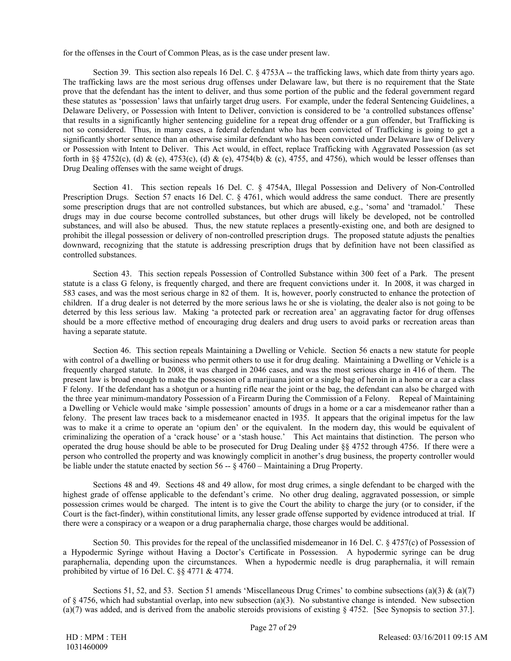for the offenses in the Court of Common Pleas, as is the case under present law.

Section 39. This section also repeals 16 Del. C. § 4753A -- the trafficking laws, which date from thirty years ago. The trafficking laws are the most serious drug offenses under Delaware law, but there is no requirement that the State prove that the defendant has the intent to deliver, and thus some portion of the public and the federal government regard these statutes as 'possession' laws that unfairly target drug users. For example, under the federal Sentencing Guidelines, a Delaware Delivery, or Possession with Intent to Deliver, conviction is considered to be 'a controlled substances offense' that results in a significantly higher sentencing guideline for a repeat drug offender or a gun offender, but Trafficking is not so considered. Thus, in many cases, a federal defendant who has been convicted of Trafficking is going to get a significantly shorter sentence than an otherwise similar defendant who has been convicted under Delaware law of Delivery or Possession with Intent to Deliver. This Act would, in effect, replace Trafficking with Aggravated Possession (as set forth in §§ 4752(c), (d) & (e), 4753(c), (d) & (e), 4754(b) & (c), 4755, and 4756), which would be lesser offenses than Drug Dealing offenses with the same weight of drugs.

Section 41. This section repeals 16 Del. C. § 4754A, Illegal Possession and Delivery of Non-Controlled Prescription Drugs. Section 57 enacts 16 Del. C. § 4761, which would address the same conduct. There are presently some prescription drugs that are not controlled substances, but which are abused, e.g., 'soma' and 'tramadol.' These drugs may in due course become controlled substances, but other drugs will likely be developed, not be controlled substances, and will also be abused. Thus, the new statute replaces a presently-existing one, and both are designed to prohibit the illegal possession or delivery of non-controlled prescription drugs. The proposed statute adjusts the penalties downward, recognizing that the statute is addressing prescription drugs that by definition have not been classified as controlled substances.

Section 43. This section repeals Possession of Controlled Substance within 300 feet of a Park. The present statute is a class G felony, is frequently charged, and there are frequent convictions under it. In 2008, it was charged in 583 cases, and was the most serious charge in 82 of them. It is, however, poorly constructed to enhance the protection of children. If a drug dealer is not deterred by the more serious laws he or she is violating, the dealer also is not going to be deterred by this less serious law. Making 'a protected park or recreation area' an aggravating factor for drug offenses should be a more effective method of encouraging drug dealers and drug users to avoid parks or recreation areas than having a separate statute.

Section 46. This section repeals Maintaining a Dwelling or Vehicle. Section 56 enacts a new statute for people with control of a dwelling or business who permit others to use it for drug dealing. Maintaining a Dwelling or Vehicle is a frequently charged statute. In 2008, it was charged in 2046 cases, and was the most serious charge in 416 of them. The present law is broad enough to make the possession of a marijuana joint or a single bag of heroin in a home or a car a class F felony. If the defendant has a shotgun or a hunting rifle near the joint or the bag, the defendant can also be charged with the three year minimum-mandatory Possession of a Firearm During the Commission of a Felony. Repeal of Maintaining a Dwelling or Vehicle would make 'simple possession' amounts of drugs in a home or a car a misdemeanor rather than a felony. The present law traces back to a misdemeanor enacted in 1935. It appears that the original impetus for the law was to make it a crime to operate an 'opium den' or the equivalent. In the modern day, this would be equivalent of criminalizing the operation of a 'crack house' or a 'stash house.' This Act maintains that distinction. The person who operated the drug house should be able to be prosecuted for Drug Dealing under §§ 4752 through 4756. If there were a person who controlled the property and was knowingly complicit in another's drug business, the property controller would be liable under the statute enacted by section 56 -- § 4760 – Maintaining a Drug Property.

Sections 48 and 49. Sections 48 and 49 allow, for most drug crimes, a single defendant to be charged with the highest grade of offense applicable to the defendant's crime. No other drug dealing, aggravated possession, or simple possession crimes would be charged. The intent is to give the Court the ability to charge the jury (or to consider, if the Court is the fact-finder), within constitutional limits, any lesser grade offense supported by evidence introduced at trial. If there were a conspiracy or a weapon or a drug paraphernalia charge, those charges would be additional.

Section 50. This provides for the repeal of the unclassified misdemeanor in 16 Del. C. § 4757(c) of Possession of a Hypodermic Syringe without Having a Doctor's Certificate in Possession. A hypodermic syringe can be drug paraphernalia, depending upon the circumstances. When a hypodermic needle is drug paraphernalia, it will remain prohibited by virtue of 16 Del. C. §§ 4771 & 4774.

Sections 51, 52, and 53. Section 51 amends 'Miscellaneous Drug Crimes' to combine subsections (a)(3)  $\&$  (a)(7) of § 4756, which had substantial overlap, into new subsection (a)(3). No substantive change is intended. New subsection (a)(7) was added, and is derived from the anabolic steroids provisions of existing § 4752. [See Synopsis to section 37.].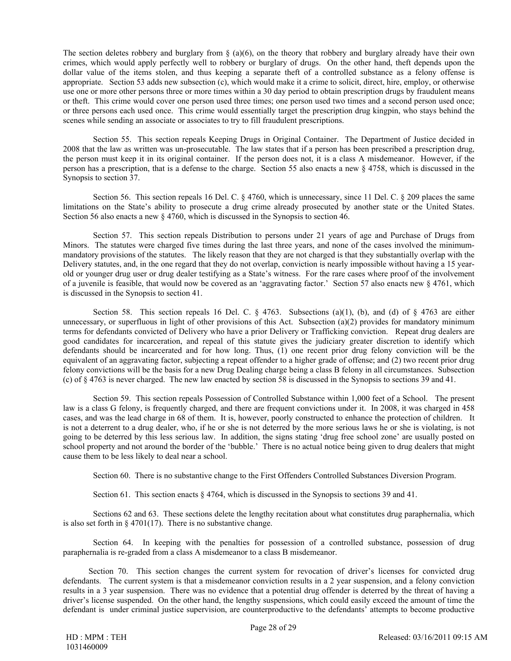The section deletes robbery and burglary from  $\S$  (a)(6), on the theory that robbery and burglary already have their own crimes, which would apply perfectly well to robbery or burglary of drugs. On the other hand, theft depends upon the dollar value of the items stolen, and thus keeping a separate theft of a controlled substance as a felony offense is appropriate. Section 53 adds new subsection (c), which would make it a crime to solicit, direct, hire, employ, or otherwise use one or more other persons three or more times within a 30 day period to obtain prescription drugs by fraudulent means or theft. This crime would cover one person used three times; one person used two times and a second person used once; or three persons each used once. This crime would essentially target the prescription drug kingpin, who stays behind the scenes while sending an associate or associates to try to fill fraudulent prescriptions.

Section 55. This section repeals Keeping Drugs in Original Container. The Department of Justice decided in 2008 that the law as written was un-prosecutable. The law states that if a person has been prescribed a prescription drug, the person must keep it in its original container. If the person does not, it is a class A misdemeanor. However, if the person has a prescription, that is a defense to the charge. Section 55 also enacts a new § 4758, which is discussed in the Synopsis to section 37.

Section 56. This section repeals 16 Del. C. § 4760, which is unnecessary, since 11 Del. C. § 209 places the same limitations on the State's ability to prosecute a drug crime already prosecuted by another state or the United States. Section 56 also enacts a new § 4760, which is discussed in the Synopsis to section 46.

Section 57. This section repeals Distribution to persons under 21 years of age and Purchase of Drugs from Minors. The statutes were charged five times during the last three years, and none of the cases involved the minimummandatory provisions of the statutes. The likely reason that they are not charged is that they substantially overlap with the Delivery statutes, and, in the one regard that they do not overlap, conviction is nearly impossible without having a 15 yearold or younger drug user or drug dealer testifying as a State's witness. For the rare cases where proof of the involvement of a juvenile is feasible, that would now be covered as an 'aggravating factor.' Section 57 also enacts new § 4761, which is discussed in the Synopsis to section 41.

Section 58. This section repeals 16 Del. C.  $\S$  4763. Subsections (a)(1), (b), and (d) of  $\S$  4763 are either unnecessary, or superfluous in light of other provisions of this Act. Subsection (a)(2) provides for mandatory minimum terms for defendants convicted of Delivery who have a prior Delivery or Trafficking conviction. Repeat drug dealers are good candidates for incarceration, and repeal of this statute gives the judiciary greater discretion to identify which defendants should be incarcerated and for how long. Thus, (1) one recent prior drug felony conviction will be the equivalent of an aggravating factor, subjecting a repeat offender to a higher grade of offense; and (2) two recent prior drug felony convictions will be the basis for a new Drug Dealing charge being a class B felony in all circumstances. Subsection (c) of § 4763 is never charged. The new law enacted by section 58 is discussed in the Synopsis to sections 39 and 41.

Section 59. This section repeals Possession of Controlled Substance within 1,000 feet of a School. The present law is a class G felony, is frequently charged, and there are frequent convictions under it. In 2008, it was charged in 458 cases, and was the lead charge in 68 of them. It is, however, poorly constructed to enhance the protection of children. It is not a deterrent to a drug dealer, who, if he or she is not deterred by the more serious laws he or she is violating, is not going to be deterred by this less serious law. In addition, the signs stating 'drug free school zone' are usually posted on school property and not around the border of the 'bubble.' There is no actual notice being given to drug dealers that might cause them to be less likely to deal near a school.

Section 60. There is no substantive change to the First Offenders Controlled Substances Diversion Program.

Section 61. This section enacts § 4764, which is discussed in the Synopsis to sections 39 and 41.

Sections 62 and 63. These sections delete the lengthy recitation about what constitutes drug paraphernalia, which is also set forth in  $\S$  4701(17). There is no substantive change.

Section 64. In keeping with the penalties for possession of a controlled substance, possession of drug paraphernalia is re-graded from a class A misdemeanor to a class B misdemeanor.

Section 70. This section changes the current system for revocation of driver's licenses for convicted drug defendants. The current system is that a misdemeanor conviction results in a 2 year suspension, and a felony conviction results in a 3 year suspension. There was no evidence that a potential drug offender is deterred by the threat of having a driver's license suspended. On the other hand, the lengthy suspensions, which could easily exceed the amount of time the defendant is under criminal justice supervision, are counterproductive to the defendants' attempts to become productive